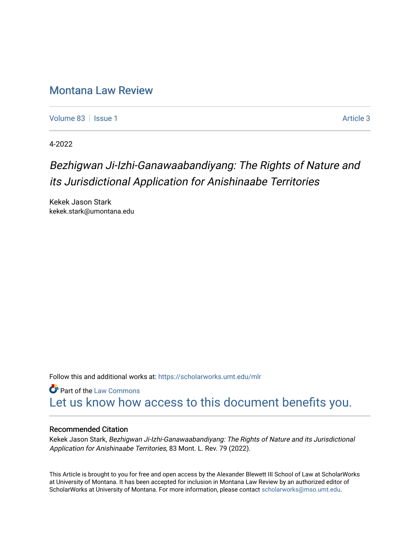# [Montana Law Review](https://scholarworks.umt.edu/mlr)

[Volume 83](https://scholarworks.umt.edu/mlr/vol83) | [Issue 1](https://scholarworks.umt.edu/mlr/vol83/iss1) [Article 3](https://scholarworks.umt.edu/mlr/vol83/iss1/3) | Article 3 | Article 3 | Article 3 | Article 3 | Article 3 | Article 3 | Article 3 | Article 3 | Article 3 | Article 3 | Article 3 | Article 3 | Article 3 | Article 3 | Article 3 | Article 3

4-2022

# Bezhigwan Ji-Izhi-Ganawaabandiyang: The Rights of Nature and its Jurisdictional Application for Anishinaabe Territories

Kekek Jason Stark kekek.stark@umontana.edu

Follow this and additional works at: [https://scholarworks.umt.edu/mlr](https://scholarworks.umt.edu/mlr?utm_source=scholarworks.umt.edu%2Fmlr%2Fvol83%2Fiss1%2F3&utm_medium=PDF&utm_campaign=PDFCoverPages) 

**Part of the [Law Commons](http://network.bepress.com/hgg/discipline/578?utm_source=scholarworks.umt.edu%2Fmlr%2Fvol83%2Fiss1%2F3&utm_medium=PDF&utm_campaign=PDFCoverPages)** [Let us know how access to this document benefits you.](https://goo.gl/forms/s2rGfXOLzz71qgsB2) 

# Recommended Citation

Kekek Jason Stark, Bezhigwan Ji-Izhi-Ganawaabandiyang: The Rights of Nature and its Jurisdictional Application for Anishinaabe Territories, 83 Mont. L. Rev. 79 (2022).

This Article is brought to you for free and open access by the Alexander Blewett III School of Law at ScholarWorks at University of Montana. It has been accepted for inclusion in Montana Law Review by an authorized editor of ScholarWorks at University of Montana. For more information, please contact [scholarworks@mso.umt.edu.](mailto:scholarworks@mso.umt.edu)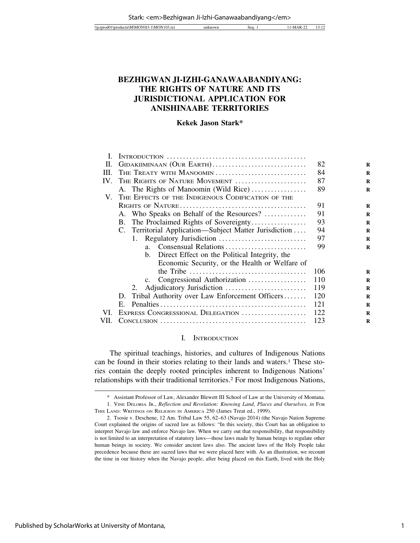# **BEZHIGWAN JI-IZHI-GANAWAABANDIYANG: THE RIGHTS OF NATURE AND ITS JURISDICTIONAL APPLICATION FOR ANISHINAABE TERRITORIES**

# **Kekek Jason Stark\***

| L    |                                                        |     |          |
|------|--------------------------------------------------------|-----|----------|
| II.  | GIDAKIIMINAAN (OUR EARTH)                              | 82  | $\bf{R}$ |
| III. | THE TREATY WITH MANOOMIN                               | 84  | R        |
| IV.  | THE RIGHTS OF NATURE MOVEMENT                          | 87  | R        |
|      | A. The Rights of Manoomin (Wild Rice)                  | 89  | $\bf{R}$ |
|      | V. THE EFFECTS OF THE INDIGENOUS CODIFICATION OF THE   |     |          |
|      |                                                        | 91  | $\bf{R}$ |
|      | A. Who Speaks on Behalf of the Resources?              | 91  | R        |
|      | The Proclaimed Rights of Sovereignty<br>B.             | 93  | $\bf{R}$ |
|      | C. Territorial Application—Subject Matter Jurisdiction | 94  | R        |
|      | 1.                                                     | 97  | R        |
|      | Consensual Relations<br>$a_{-}$                        | 99  | R        |
|      | Direct Effect on the Political Integrity, the<br>b.    |     |          |
|      | Economic Security, or the Health or Welfare of         |     |          |
|      |                                                        | 106 | $\bf{R}$ |
|      | Congressional Authorization<br>$c_{\cdot}$             | 110 | R        |
|      | 2.                                                     | 119 | R        |
|      | D. Tribal Authority over Law Enforcement Officers      | 120 | R        |
|      | Е.                                                     | 121 | R        |
| VI.  | EXPRESS CONGRESSIONAL DELEGATION                       | 122 | $\bf{R}$ |
| VII. |                                                        | 123 | R        |

#### I. INTRODUCTION

The spiritual teachings, histories, and cultures of Indigenous Nations can be found in their stories relating to their lands and waters.<sup>1</sup> These stories contain the deeply rooted principles inherent to Indigenous Nations' relationships with their traditional territories.2 For most Indigenous Nations,

<sup>\*</sup> Assistant Professor of Law, Alexander Blewett III School of Law at the University of Montana.

<sup>1.</sup> VINE DELORIA JR., *Reflection and Revelation: Knowing Land, Places and Ourselves, in* FOR THIS LAND: WRITINGS ON RELIGION IN AMERICA 250 (James Treat ed., 1999).

<sup>2.</sup> Tsosie v. Deschene, 12 Am. Tribal Law 55, 62–63 (Navajo 2014) (the Navajo Nation Supreme Court explained the origins of sacred law as follows: "In this society, this Court has an obligation to interpret Navajo law and enforce Navajo law. When we carry out that responsibility, that responsibility is not limited to an interpretation of statutory laws—those laws made by human beings to regulate other human beings in society. We consider ancient laws also. The ancient laws of the Holy People take precedence because these are sacred laws that we were placed here with. As an illustration, we recount the time in our history when the Navajo people, after being placed on this Earth, lived with the Holy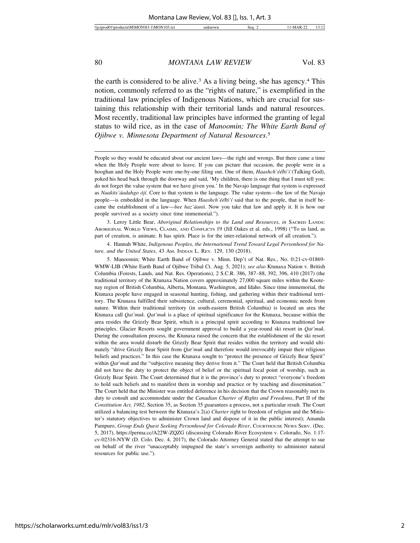the earth is considered to be alive.<sup>3</sup> As a living being, she has agency.<sup>4</sup> This notion, commonly referred to as the "rights of nature," is exemplified in the traditional law principles of Indigenous Nations, which are crucial for sustaining this relationship with their territorial lands and natural resources. Most recently, traditional law principles have informed the granting of legal status to wild rice, as in the case of *Manoomin; The White Earth Band of Ojibwe v. Minnesota Department of Natural Resources*. 5

3. Leroy Little Bear, *Aboriginal Relationships to the Land and Resources*, *in* SACRED LANDS: ABORIGINAL WORLD VIEWS, CLAIMS, AND CONFLICTS 19 (Jill Oakes et al. eds., 1998) ("To us land, as part of creation, is animate. It has spirit. Place is for the inter-relational network of all creation.").

4. Hannah White, *Indigenous Peoples, the International Trend Toward Legal Personhood for Nature, and the United States*, 43 AM. INDIAN L. REV. 129, 130 (2018).

5. Manoomin; White Earth Band of Ojibwe v. Minn. Dep't of Nat. Res., No. 0:21-cv-01869- WMW-LIB (White Earth Band of Ojibwe Tribal Ct. Aug. 5, 2021); *see also* Ktunaxa Nation v. British Columbia (Forests, Lands, and Nat. Res. Operations), 2 S.C.R. 386, 387–88, 392, 396, 410 (2017) (the traditional territory of the Ktunaxa Nation covers approximately 27,000 square miles within the Kootenay region of British Columbia, Alberta, Montana, Washington, and Idaho. Since time immemorial, the Ktunaxa people have engaged in seasonal hunting, fishing, and gathering within their traditional territory. The Ktunaxa fulfilled their subsistence, cultural, ceremonial, spiritual, and economic needs from nature. Within their traditional territory (in south-eastern British Columbia) is located an area the Ktunaxa call *Qat'muk*. *Qat'muk* is a place of spiritual significance for the Ktunaxa, because within the area resides the Grizzly Bear Spirit, which is a principal spirit according to Ktunaxa traditional law principles. Glacier Resorts sought government approval to build a year-round ski resort in *Qat'muk*. During the consultation process, the Ktunaxa raised the concern that the establishment of the ski resort within the area would disturb the Grizzly Bear Spirit that resides within the territory and would ultimately "drive Grizzly Bear Spirit from *Qat'muk* and therefore would irrevocably impair their religious beliefs and practices." In this case the Ktunaxa sought to "protect the presence of Grizzly Bear Spirit" within *Qat'muk* and the "subjective meaning they derive from it." The Court held that British Columbia did not have the duty to protect the object of belief or the spiritual focal point of worship, such as Grizzly Bear Spirit. The Court determined that it is the province's duty to protect "everyone's freedom to hold such beliefs and to manifest them in worship and practice or by teaching and dissemination." The Court held that the Minister was entitled deference in his decision that the Crown reasonably met its duty to consult and accommodate under the *Canadian Charter of Rights and Freedoms*, Part II of the *Constitution Act, 1982*, Section 35, as Section 35 guarantees a process, not a particular result. The Court utilized a balancing test between the Ktunaxa's 2(a) *Charter* right to freedom of religion and the Minister's statutory objectives to administer Crown land and dispose of it in the public interest); Amanda Pampuro, *Group Ends Quest Seeking Personhood for Colorado River*, COURTHOUSE NEWS SERV. (Dec. 5, 2017), https://perma.cc/A22W-ZQZG (discussing Colorado River Ecosystem v. Colorado, No. 1:17 cv-02316-NYW (D. Colo. Dec. 4, 2017), the Colorado Attorney General stated that the attempt to sue on behalf of the river "unacceptably impugned the state's sovereign authority to administer natural resources for public use.").

People so they would be educated about our ancient laws—the right and wrongs. But there came a time when the Holy People were about to leave. If you can picture that occasion, the people were in a hooghan and the Holy People were one-by-one filing out. One of them, *Haashch'éétii'í* (Talking God), poked his head back through the doorway and said, 'My children, there is one thing that I must tell you: do not forget the value system that we have given you.' In the Navajo language that system is expressed as *Naakits' áadahgo ójí*. Core to that system is the language. The value system—the law of the Navajo people—is embedded in the language. When *Haashch'éétii'* aid that to the people, that in itself became the establishment of a law—*bee haz'aanii*. Now you take that law and apply it. It is how our people survived as a society since time immemorial.").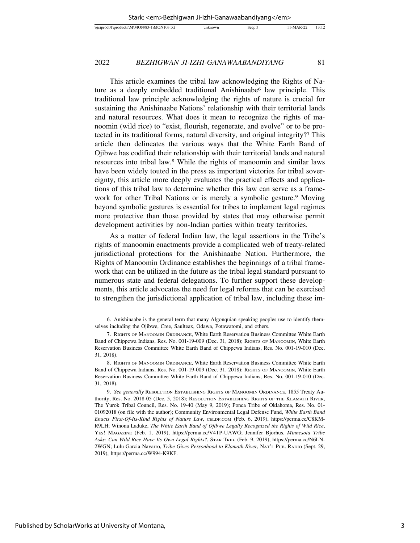#### \)\jciprod01\productn\M\MON\83-1\MON103.txt unknown Seq: 3 11-MAR-22 13:12

#### 2022 *BEZHIGWAN JI-IZHI-GANAWAABANDIYANG* 81

This article examines the tribal law acknowledging the Rights of Nature as a deeply embedded traditional Anishinaabe<sup>6</sup> law principle. This traditional law principle acknowledging the rights of nature is crucial for sustaining the Anishinaabe Nations' relationship with their territorial lands and natural resources. What does it mean to recognize the rights of manoomin (wild rice) to "exist, flourish, regenerate, and evolve" or to be protected in its traditional forms, natural diversity, and original integrity?7 This article then delineates the various ways that the White Earth Band of Ojibwe has codified their relationship with their territorial lands and natural resources into tribal law.8 While the rights of manoomin and similar laws have been widely touted in the press as important victories for tribal sovereignty, this article more deeply evaluates the practical effects and applications of this tribal law to determine whether this law can serve as a framework for other Tribal Nations or is merely a symbolic gesture.<sup>9</sup> Moving beyond symbolic gestures is essential for tribes to implement legal regimes more protective than those provided by states that may otherwise permit development activities by non-Indian parties within treaty territories.

As a matter of federal Indian law, the legal assertions in the Tribe's rights of manoomin enactments provide a complicated web of treaty-related jurisdictional protections for the Anishinaabe Nation. Furthermore, the Rights of Manoomin Ordinance establishes the beginnings of a tribal framework that can be utilized in the future as the tribal legal standard pursuant to numerous state and federal delegations. To further support these developments, this article advocates the need for legal reforms that can be exercised to strengthen the jurisdictional application of tribal law, including these im-

<sup>6.</sup> Anishinaabe is the general term that many Algonquian speaking peoples use to identify themselves including the Ojibwe, Cree, Saulteax, Odawa, Potawatomi, and others.

<sup>7.</sup> RIGHTS OF MANOOMIN ORDINANCE, White Earth Reservation Business Committee White Earth Band of Chippewa Indians, Res. No. 001-19-009 (Dec. 31, 2018); RIGHTS OF MANOOMIN, White Earth Reservation Business Committee White Earth Band of Chippewa Indians, Res. No. 001-19-010 (Dec. 31, 2018).

<sup>8.</sup> RIGHTS OF MANOOMIN ORDINANCE, White Earth Reservation Business Committee White Earth Band of Chippewa Indians, Res. No. 001-19-009 (Dec. 31, 2018); RIGHTS OF MANOOMIN, White Earth Reservation Business Committee White Earth Band of Chippewa Indians, Res. No. 001-19-010 (Dec. 31, 2018).

<sup>9.</sup> *See generally* RESOLUTION ESTABLISHING RIGHTS OF MANOOMIN ORDINANCE, 1855 Treaty Authority, Res. No. 2018-05 (Dec. 5, 2018); RESOLUTION ESTABLISHING RIGHTS OF THE KLAMATH RIVER, The Yurok Tribal Council, Res. No. 19-40 (May 9, 2019); Ponca Tribe of Oklahoma, Res. No. 01- 01092018 (on file with the author); Community Environmental Legal Defense Fund, *White Earth Band Enacts First-Of-Its-Kind Rights of Nature Law*, CELDF.COM (Feb. 6, 2019), https://perma.cc/C8KM-R9LH; Winona Laduke, *The White Earth Band of Ojibwe Legally Recognized the Rights of Wild Rice*, YES! MAGAZINE (Feb. 1, 2019), https://perma.cc/V4TP-UAWG; Jennifer Bjorhus, *Minnesota Tribe Asks: Can Wild Rice Have Its Own Legal Rights?*, STAR TRIB. (Feb. 9, 2019), https://perma.cc/N6LN-2WGN; Lulu Garcia-Navarro, *Tribe Gives Personhood to Klamath River*, NAT'L PUB. RADIO (Sept. 29, 2019), https://perma.cc/W994-K9KF.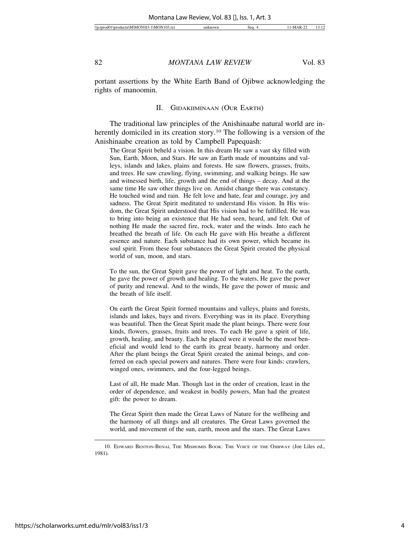portant assertions by the White Earth Band of Ojibwe acknowledging the rights of manoomin.

#### II. GIDAKIIMINAAN (OUR EARTH)

The traditional law principles of the Anishinaabe natural world are inherently domiciled in its creation story.<sup>10</sup> The following is a version of the Anishinaabe creation as told by Campbell Papequash:

The Great Spirit beheld a vision. In this dream He saw a vast sky filled with Sun, Earth, Moon, and Stars. He saw an Earth made of mountains and valleys, islands and lakes, plains and forests. He saw flowers, grasses, fruits, and trees. He saw crawling, flying, swimming, and walking beings. He saw and witnessed birth, life, growth and the end of things – decay. And at the same time He saw other things live on. Amidst change there was constancy. He touched wind and rain. He felt love and hate, fear and courage, joy and sadness. The Great Spirit meditated to understand His vision. In His wisdom, the Great Spirit understood that His vision had to be fulfilled. He was to bring into being an existence that He had seen, heard, and felt. Out of nothing He made the sacred fire, rock, water and the winds. Into each he breathed the breath of life. On each He gave with His breathe a different essence and nature. Each substance had its own power, which became its soul spirit. From these four substances the Great Spirit created the physical world of sun, moon, and stars.

To the sun, the Great Spirit gave the power of light and heat. To the earth, he gave the power of growth and healing. To the waters, He gave the power of purity and renewal. And to the winds, He gave the power of music and the breath of life itself.

On earth the Great Spirit formed mountains and valleys, plains and forests, islands and lakes, bays and rivers. Everything was in its place. Everything was beautiful. Then the Great Spirit made the plant beings. There were four kinds, flowers, grasses, fruits and trees. To each He gave a spirit of life, growth, healing, and beauty. Each he placed were it would be the most beneficial and would lend to the earth its great beauty, harmony and order. After the plant beings the Great Spirit created the animal beings, and conferred on each special powers and natures. There were four kinds: crawlers, winged ones, swimmers, and the four-legged beings.

Last of all, He made Man. Though last in the order of creation, least in the order of dependence, and weakest in bodily powers, Man had the greatest gift: the power to dream.

The Great Spirit then made the Great Laws of Nature for the wellbeing and the harmony of all things and all creatures. The Great Laws governed the world, and movement of the sun, earth, moon and the stars. The Great Laws

<sup>10.</sup> EDWARD BENTON-BENAI, THE MISHOMIS BOOK: THE VOICE OF THE OJIBWAY (Joe Liles ed., 1981).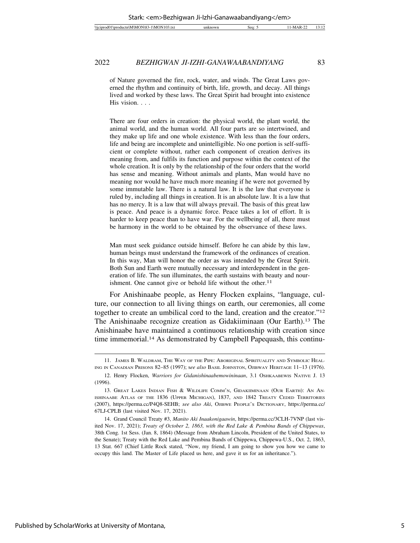of Nature governed the fire, rock, water, and winds. The Great Laws governed the rhythm and continuity of birth, life, growth, and decay. All things lived and worked by these laws. The Great Spirit had brought into existence His vision. . . .

There are four orders in creation: the physical world, the plant world, the animal world, and the human world. All four parts are so intertwined, and they make up life and one whole existence. With less than the four orders, life and being are incomplete and unintelligible. No one portion is self-sufficient or complete without, rather each component of creation derives its meaning from, and fulfils its function and purpose within the context of the whole creation. It is only by the relationship of the four orders that the world has sense and meaning. Without animals and plants, Man would have no meaning nor would he have much more meaning if he were not governed by some immutable law. There is a natural law. It is the law that everyone is ruled by, including all things in creation. It is an absolute law. It is a law that has no mercy. It is a law that will always prevail. The basis of this great law is peace. And peace is a dynamic force. Peace takes a lot of effort. It is harder to keep peace than to have war. For the wellbeing of all, there must be harmony in the world to be obtained by the observance of these laws.

Man must seek guidance outside himself. Before he can abide by this law, human beings must understand the framework of the ordinances of creation. In this way, Man will honor the order as was intended by the Great Spirit. Both Sun and Earth were mutually necessary and interdependent in the generation of life. The sun illuminates, the earth sustains with beauty and nourishment. One cannot give or behold life without the other.<sup>11</sup>

For Anishinaabe people, as Henry Flocken explains, "language, culture, our connection to all living things on earth, our ceremonies, all come together to create an umbilical cord to the land, creation and the creator."12 The Anishinaabe recognize creation as Gidakiiminaan (Our Earth).13 The Anishinaabe have maintained a continuous relationship with creation since time immemorial.14 As demonstrated by Campbell Papequash, this continu-

<sup>11.</sup> JAMES B. WALDRAM, THE WAY OF THE PIPE: ABORIGINAL SPIRITUALITY AND SYMBOLIC HEAL-ING IN CANADIAN PRISONS 82–85 (1997); s*ee also* BASIL JOHNSTON, OJIBWAY HERITAGE 11–13 (1976).

<sup>12.</sup> Henry Flocken, *Warriors for Gidanishinaabemowininaan*, 3.1 OSHKAABEWIS NATIVE J. 13 (1996).

<sup>13.</sup> GREAT LAKES INDIAN FISH & WILDLIFE COMM'N, GIDAKIIMINAAN (OUR EARTH): AN AN-ISHINAABE ATLAS OF THE 1836 (UPPER MICHIGAN), 1837, AND 1842 TREATY CEDED TERRITORIES (2007), https://perma.cc/P4Q8-SEHB; *see also Aki*, OJIBWE PEOPLE'S DICTIONARY, https://perma.cc/ 67LJ-CPLB (last visited Nov. 17, 2021).

<sup>14.</sup> Grand Council Treaty #3, *Manito Aki Inaakonigaawin*, https://perma.cc/3CLH-7VNP (last visited Nov. 17, 2021); *Treaty of October 2, 1863, with the Red Lake & Pembina Bands of Chippewas*, 38th Cong. 1st Sess. (Jan. 8, 1864) (Message from Abraham Lincoln, President of the United States, to the Senate); Treaty with the Red Lake and Pembina Bands of Chippewa, Chippewa-U.S., Oct. 2, 1863, 13 Stat. 667 (Chief Little Rock stated, "Now, my friend, I am going to show you how we came to occupy this land. The Master of Life placed us here, and gave it us for an inheritance.").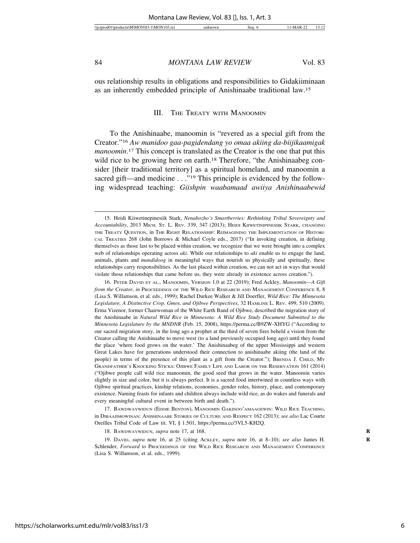ous relationship results in obligations and responsibilities to Gidakiiminaan as an inherently embedded principle of Anishinaabe traditional law.15

# III. THE TREATY WITH MANOOMIN

To the Anishinaabe, manoomin is "revered as a special gift from the Creator."16 *Aw manidoo gaa-pagidendang yo omaa akiing da-biijikaamigak manoomin*. 17 This concept is translated as the Creator is the one that put this wild rice to be growing here on earth.<sup>18</sup> Therefore, "the Anishinaabeg consider [their traditional territory] as a spiritual homeland, and manoomin a sacred gift—and medicine . . . "<sup>19</sup> This principle is evidenced by the following widespread teaching: *Giishpin waabamaad awiiya Anishinaabewid*

17. BAWDWAYWIDUN (EDDIE BENTON), MANOOMIN GAKINOO'AMAAGEWIN: WILD RICE TEACHING, in DIBAAJIMOWINAN: ANISHINAABE STORIES OF CULTURE AND RESPECT 162 (2013); *see also* Lac Courte Oreilles Tribal Code of Law tit. VI, § 1.501, https://perma.cc/3VL5-KH2Q.

18. BAWDWAYWIDUN, *supra* note 17, at 168. **R**

<sup>15.</sup> Heidi Kiiwetinepinesiik Stark, *Nenabozho's Smartberries: Rethinking Tribal Sovereignty and Accountability*, 2013 MICH. ST. L. REV. 339, 347 (2013); HEIDI KIIWETINIPINESIIK STARK, CHANGING THE TREATY QUESTION, in THE RIGHT RELATIONSHIP: REIMAGINING THE IMPLEMENTATION OF HISTORI-CAL TREATIES 268 (John Borrows & Michael Coyle eds., 2017) ("In invoking creation, in defining themselves as those last to be placed within creation, we recognize that we were brought into a complex web of relationships operating across *aki*. While our relationships to *aki* enable us to engage the land, animals, plants and *mandidoog* in meaningful ways that nourish us physically and spiritually, these relationships carry responsibilities. As the last placed within creation, we can not act in ways that would violate those relationships that came before us, they were already in existence across creation.").

<sup>16.</sup> PETER DAVID ET AL., MANOOMIN, VERSION 1.0 at 22 (2019); Fred Ackley, *Manoomin—A Gift from the Creator*, *in* PROCEEDINGS OF THE WILD RICE RESEARCH AND MANAGEMENT CONFERENCE 8, 8 (Lisa S. Willamson, et al. eds., 1999); Rachel Durkee Walker & Jill Doerfler, *Wild Rice: The Minnesota Legislature, A Distinctive Crop, Gmos, and Ojibwe Perspectives*, 32 HAMLINE L. REV. 499, 510 (2009). Erma Vizenor, former Chairwoman of the White Earth Band of Ojibwe, described the migration story of the Anishinaabe in *Natural Wild Rice in Minnesota: A Wild Rice Study Document Submitted to the Minnesota Legislature by the MNDNR* (Feb. 15, 2008), https://perma.cc/B9ZW-XHYG ("According to our sacred migration story, in the long ago a prophet at the third of seven fires beheld a vision from the Creator calling the Anishinaabe to move west (to a land previously occupied long ago) until they found the place 'where food grows on the water.' The Anishinaabeg of the upper Mississippi and western Great Lakes have for generations understood their connection to anishinaabe akiing (the land of the people) in terms of the presence of this plant as a gift from the Creator."); BRENDA J. CHILD, MY GRANDFATHER'S KNOCKING STICKS: OJIBWE FAMILY LIFE AND LABOR ON THE RESERVATION 161 (2014) ("Ojibwe people call wild rice manoomin, the good seed that grows in the water. Manoomin varies slightly in size and color, but it is always perfect. It is a sacred food intertwined in countless ways with Ojibwe spiritual practices, kinship relations, economies, gender roles, history, place, and contemporary existence. Naming feasts for infants and children always include wild rice, as do wakes and funerals and every meaningful cultural event in between birth and death.").

<sup>19.</sup> DAVID, *supra* note 16, at 25 (citing ACKLEY, *supra* note 16, at 8–10); *see also* James H. **R** Schlender, *Forward to* Proceedings of the WILD RICE RESEARCH AND MANAGEMENT CONFERENCE (Lisa S. Willamson, et al. eds., 1999).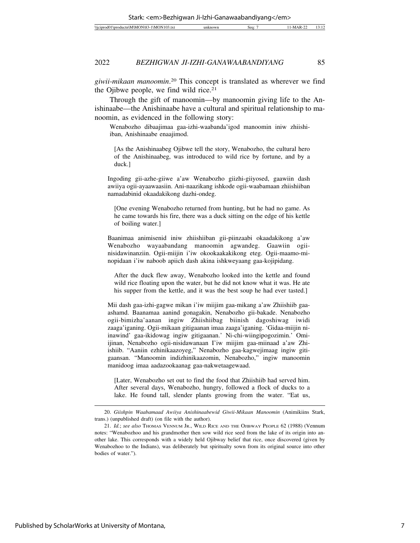#### \)\jciprod01\productn\M\MON\83-1\MON103.txt unknown Seq: 7 11-MAR-22 13:12

#### 2022 *BEZHIGWAN JI-IZHI-GANAWAABANDIYANG* 85

*giwii-mikaan manoomin*. 20 This concept is translated as wherever we find the Ojibwe people, we find wild rice.21

Through the gift of manoomin—by manoomin giving life to the Anishinaabe—the Anishinaabe have a cultural and spiritual relationship to manoomin, as evidenced in the following story:

Wenabozho dibaajimaa gaa-izhi-waabanda'igod manoomin iniw zhiishiiban, Anishinaabe enaajimod.

[As the Anishinaabeg Ojibwe tell the story, Wenabozho, the cultural hero of the Anishinaabeg, was introduced to wild rice by fortune, and by a duck.]

Ingoding gii-azhe-giiwe a'aw Wenabozho giizhi-giiyosed, gaawiin dash awiiya ogii-ayaawaasiin. Ani-naazikang ishkode ogii-waabamaan zhiishiiban namadabinid okaadakikong dazhi-ondeg.

[One evening Wenabozho returned from hunting, but he had no game. As he came towards his fire, there was a duck sitting on the edge of his kettle of boiling water.]

Baanimaa animisenid iniw zhiishiiban gii-piinzaabi okaadakikong a'aw Wenabozho wayaabandang manoomin agwandeg. Gaawiin ogiinisidawinanziin. Ogii-miijin i'iw okookaakakikong eteg. Ogii-maamo-minopidaan i'iw naboob apiich dash akina ishkweyaang gaa-kojipidang.

After the duck flew away, Wenabozho looked into the kettle and found wild rice floating upon the water, but he did not know what it was. He ate his supper from the kettle, and it was the best soup he had ever tasted.]

Mii dash gaa-izhi-gagwe mikan i'iw miijim gaa-mikang a'aw Zhiishiib gaaashamd. Baanamaa aanind gonagakin, Nenabozho gii-bakade. Nenabozho ogii-bimizha'aanan ingiw Zhiishiibag biinish dagoshiwag iwidi zaaga'iganing. Ogii-mikaan gitigaanan imaa zaaga'iganing. 'Gidaa-miijin niinawind' gaa-ikidowag ingiw gitigaanan.' Ni-chi-wiingipogozimin.' Omiijinan, Nenabozho ogii-nisidawanaan I'iw miijim gaa-miinaad a'aw Zhiishiib. "Aaniin ezhinikaazoyeg," Nenabozho gaa-kagwejimaag ingiw gitigaansan. "Manoomin indizhinikaazomin, Nenabozho," ingiw manoomin manidoog imaa aadazookaanag gaa-nakwetaagewaad.

[Later, Wenabozho set out to find the food that Zhiishiib had served him. After several days, Wenabozho, hungry, followed a flock of ducks to a lake. He found tall, slender plants growing from the water. "Eat us,

<sup>20.</sup> *Giishpin Waabamaad Awiiya Anishinaabewid Giwii-Mikaan Manoomin* (Animikiins Stark, trans.) (unpublished draft) (on file with the author).

<sup>21.</sup> *Id.*; *see also* THOMAS VENNUM JR., WILD RICE AND THE OJIBWAY PEOPLE 62 (1988) (Vennum notes: "Wenabozhoo and his grandmother then sow wild rice seed from the lake of its origin into another lake. This corresponds with a widely held Ojibway belief that rice, once discovered (given by Wenabozhoo to the Indians), was deliberately but spiritualty sown from its original source into other bodies of water.").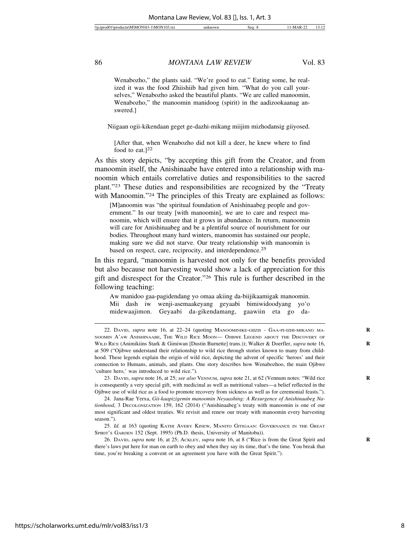Wenabozho," the plants said. "We're good to eat." Eating some, he realized it was the food Zhiishiib had given him. "What do you call yourselves," Wenabozho asked the beautiful plants. "We are called manoomin, Wenabozho," the manoomin manidoog (spirit) in the aadizookaanag answered.]

Niigaan ogii-kikendaan geget ge-dazhi-mikang miijim mizhodansig giiyosed.

[After that, when Wenabozho did not kill a deer, he knew where to find food to eat. $]^{22}$ 

As this story depicts, "by accepting this gift from the Creator, and from manoomin itself, the Anishinaabe have entered into a relationship with manoomin which entails correlative duties and responsibilities to the sacred plant."23 These duties and responsibilities are recognized by the "Treaty with Manoomin."<sup>24</sup> The principles of this Treaty are explained as follows:

[M]anoomin was "the spiritual foundation of Anishinaabeg people and government." In our treaty [with manoomin], we are to care and respect manoomin, which will ensure that it grows in abundance. In return, manoomin will care for Anishinaabeg and be a plentiful source of nourishment for our bodies. Throughout many hard winters, manoomin has sustained our people, making sure we did not starve. Our treaty relationship with manoomin is based on respect, care, reciprocity, and interdependence.<sup>25</sup>

In this regard, "manoomin is harvested not only for the benefits provided but also because not harvesting would show a lack of appreciation for this gift and disrespect for the Creator."26 This rule is further described in the following teaching:

Aw manidoo gaa-pagidendang yo omaa akiing da-biijikaamigak manoomin. Mii dash iw wenji-asemaakeyang geyaabi bimiwidoodyang yo'o midewaajimon. Geyaabi da-gikendamang, gaawiin eta go da-

<sup>22.</sup> DAVID, *supra* note 16, at 22–24 (quoting MANOOMINIKE-GIIZIS - GAA-PI-IZHI-MIKANG MA- **R** NOOMIN A'AW ANISHINAABE, THE WILD RICE MOON— OJIBWE LEGEND ABOUT THE DISCOVERY OF WILD RICE (Animikiins Stark & Gimiwan [Dustin Burnette] trans.)); Walker & Doerfler, *supra* note 16, **R** at 509 ("Ojibwe understand their relationship to wild rice through stories known to many from childhood. These legends explain the origin of wild rice, depicting the advent of specific 'heroes' and their connection to Humans, animals, and plants. One story describes how Wenabozhoo, the main Ojibwe 'culture hero,' was introduced to wild rice.").

<sup>23.</sup> DAVID, *supra* note 16, at 25; *see also* VENNUM, *supra* note 21, at 62 (Vennum notes: "Wild rice **R** is consequently a very special gift, with medicinal as well as nutritional values—a belief reflected in the Ojibwe use of wild rice as a food to promote recovery from sickness as well as for ceremonial feasts.").

<sup>24.</sup> Jana-Rae Yerxa, *Gii-kaapizigemin manoomin Neyaashing: A Resurgence of Anishinaabeg Nationhood*, 3 DECOLONIZATION 159, 162 (2014) ("Anishinaabeg's treaty with manoomin is one of our most significant and oldest treaties. We revisit and renew our treaty with manoomin every harvesting season.").

<sup>25.</sup> *Id.* at 163 (quoting KATHI AVERY KINEW, MANITO GITIGAAN: GOVERNANCE IN THE GREAT SPIRIT's GARDEN 152 (Sept. 1995) (Ph.D. thesis, University of Manitoba)).

<sup>26.</sup> DAVID, *supra* note 16, at 25; ACKLEY, *supra* note 16, at 8 ("Rice is from the Great Spirit and **R** there's laws put here for man on earth to obey and when they say its time, that's the time. You break that time, you're breaking a convent or an agreement you have with the Great Spirit.").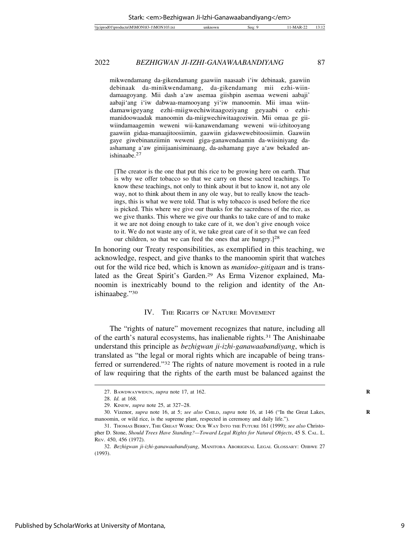mikwendamang da-gikendamang gaawiin naasaab i'iw debinaak, gaawiin debinaak da-minikwendamang, da-gikendamang mii ezhi-wiindamaagoyang. Mii dash a'aw asemaa giishpin asemaa weweni aabaji' aabaji'ang i'iw dabwaa-mamooyang yi'iw manoomin. Mii imaa wiindamawigeyang ezhi-miigwechiwitaagoziyang geyaabi o ezhimanidoowaadak manoomin da-miigwechiwitaagoziwin. Mii omaa ge giiwiindamaagemin weweni wii-kanawendamang weweni wii-izhitooyang gaawiin gidaa-manaajitoosiimin, gaawiin gidaswewebitoosiimin. Gaawiin gaye giwebinanziimin weweni giga-ganawendaamin da-wiisiniyang daashamang a'aw giniijaanisiminaang, da-ashamang gaye a'aw bekaded anishinaabe.27

[The creator is the one that put this rice to be growing here on earth. That is why we offer tobacco so that we carry on these sacred teachings. To know these teachings, not only to think about it but to know it, not any ole way, not to think about them in any ole way, but to really know the teachings, this is what we were told. That is why tobacco is used before the rice is picked. This where we give our thanks for the sacredness of the rice, as we give thanks. This where we give our thanks to take care of and to make it we are not doing enough to take care of it, we don't give enough voice to it. We do not waste any of it, we take great care of it so that we can feed our children, so that we can feed the ones that are hungry. $]^{28}$ 

In honoring our Treaty responsibilities, as exemplified in this teaching, we acknowledge, respect, and give thanks to the manoomin spirit that watches out for the wild rice bed, which is known as *manidoo-gitigaan* and is translated as the Great Spirit's Garden.<sup>29</sup> As Erma Vizenor explained, Manoomin is inextricably bound to the religion and identity of the Anishinaabeg."30

# IV. THE RIGHTS OF NATURE MOVEMENT

The "rights of nature" movement recognizes that nature, including all of the earth's natural ecosystems, has inalienable rights.31 The Anishinaabe understand this principle as *bezhigwan ji-izhi-ganawaabandiyang*, which is translated as "the legal or moral rights which are incapable of being transferred or surrendered."32 The rights of nature movement is rooted in a rule of law requiring that the rights of the earth must be balanced against the

<sup>27.</sup> BAWDWAYWIDUN, *supra* note 17, at 162. **R**

<sup>28.</sup> *Id.* at 168.

<sup>29.</sup> KINEW, *supra* note 25, at 327–28.

<sup>30.</sup> Vizenor, *supra* note 16, at 5; *see also* CHILD, *supra* note 16, at 146 ("In the Great Lakes, **R** manoomin, or wild rice, is the supreme plant, respected in ceremony and daily life.").

<sup>31.</sup> THOMAS BERRY, THE GREAT WORK: OUR WAY INTO THE FUTURE 161 (1999); *see also* Christopher D. Stone, *Should Trees Have Standing?—Toward Legal Rights for Natural Objects*, 45 S. CAL. L. REV. 450, 456 (1972).

<sup>32.</sup> *Bezhigwan ji-izhi-ganawaabandiyang*, MANITOBA ABORIGINAL LEGAL GLOSSARY: OJIBWE 27 (1993).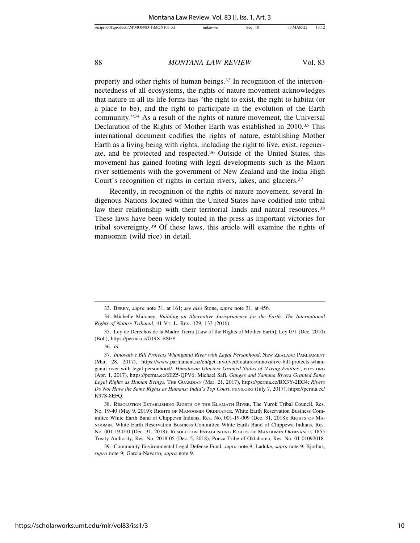property and other rights of human beings.<sup>33</sup> In recognition of the interconnectedness of all ecosystems, the rights of nature movement acknowledges that nature in all its life forms has "the right to exist, the right to habitat (or a place to be), and the right to participate in the evolution of the Earth community."34 As a result of the rights of nature movement, the Universal Declaration of the Rights of Mother Earth was established in 2010.35 This international document codifies the rights of nature, establishing Mother Earth as a living being with rights, including the right to live, exist, regenerate, and be protected and respected.36 Outside of the United States, this movement has gained footing with legal developments such as the Maori river settlements with the government of New Zealand and the India High Court's recognition of rights in certain rivers, lakes, and glaciers.37

Recently, in recognition of the rights of nature movement, several Indigenous Nations located within the United States have codified into tribal law their relationship with their territorial lands and natural resources.<sup>38</sup> These laws have been widely touted in the press as important victories for tribal sovereignty.39 Of these laws, this article will examine the rights of manoomin (wild rice) in detail.

<sup>33.</sup> BERRY, *supra* note 31, at 161; *see also* Stone, *supra* note 31, at 456.

<sup>34.</sup> Michelle Maloney, *Building an Alternative Jurisprudence for the Earth: The International Rights of Nature Tribunal*, 41 VT. L. REV. 129, 133 (2016).

<sup>35.</sup> Ley de Derechos de la Madre Tierra [Law of the Rights of Mother Earth], Ley 071 (Dec. 2010) (Bol.), https://perma.cc/GJ9X-BSEP.

<sup>36.</sup> *Id.*

<sup>37.</sup> *Innovative Bill Protects Whanganui River with Legal Personhood*, NEW ZEALAND PARLIAMENT (Mar. 28, 2017), https://www.parliament.nz/en/get-involved/features/innovative-bill-protects-whanganui-river-with-legal-personhood/; *Himalayan Glaciers Granted Status of 'Living Entities'*, PHYS.ORG (Apr. 1, 2017), https://perma.cc/6EZ5-QPV6; Michael Safi, *Ganges and Yamuna Rivers Granted Same Legal Rights as Human Beings*, THE GUARDIAN (Mar. 21, 2017), https://perma.cc/BX3Y-2EG4; *Rivers Do Not Have the Same Rights as Humans: India's Top Court*, PHYS.ORG (July 7, 2017), https://perma.cc/ K97S-8EFQ.

<sup>38.</sup> RESOLUTION ESTABLISHING RIGHTS OF THE KLAMATH RIVER, The Yurok Tribal Council, Res. No. 19-40 (May 9, 2019); RIGHTS OF MANOOMIN ORDINANCE, White Earth Reservation Business Committee White Earth Band of Chippewa Indians, Res. No. 001-19-009 (Dec. 31, 2018); RIGHTS OF MA-NOOMIN, White Earth Reservation Business Committee White Earth Band of Chippewa Indians, Res. No. 001-19-010 (Dec. 31, 2018); RESOLUTION ESTABLISHING RIGHTS OF MANOOMIN ORDINANCE, 1855 Treaty Authority, Res. No. 2018-05 (Dec. 5, 2018); Ponca Tribe of Oklahoma, Res. No. 01-01092018.

<sup>39.</sup> Community Environmental Legal Defense Fund, *supra* note 9; Laduke, *supra* note 9; Bjorhus, *supra* note 9; Garcia-Navarro, *supra* note 9.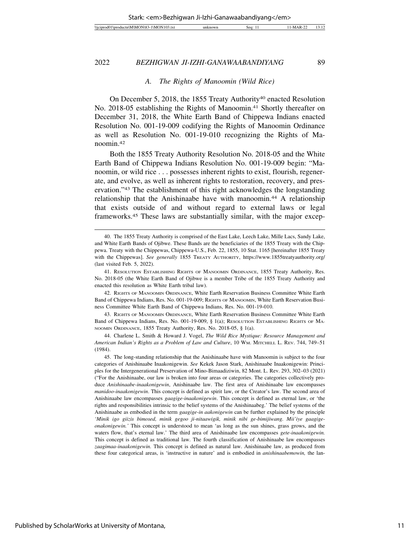#### \)\jciprod01\productn\M\MON\83-1\MON103.txt unknown Seq: 11 11-MAR-22 13:12

#### 2022 *BEZHIGWAN JI-IZHI-GANAWAABANDIYANG* 89

#### *A. The Rights of Manoomin (Wild Rice)*

On December 5, 2018, the 1855 Treaty Authority<sup>40</sup> enacted Resolution No. 2018-05 establishing the Rights of Manoomin.<sup>41</sup> Shortly thereafter on December 31, 2018, the White Earth Band of Chippewa Indians enacted Resolution No. 001-19-009 codifying the Rights of Manoomin Ordinance as well as Resolution No. 001-19-010 recognizing the Rights of Manoomin.42

Both the 1855 Treaty Authority Resolution No. 2018-05 and the White Earth Band of Chippewa Indians Resolution No. 001-19-009 begin: "Manoomin, or wild rice . . . possesses inherent rights to exist, flourish, regenerate, and evolve, as well as inherent rights to restoration, recovery, and preservation."43 The establishment of this right acknowledges the longstanding relationship that the Anishinaabe have with manoomin.44 A relationship that exists outside of and without regard to external laws or legal frameworks.45 These laws are substantially similar, with the major excep-

42. RIGHTS OF MANOOMIN ORDINANCE, White Earth Reservation Business Committee White Earth Band of Chippewa Indians, Res. No. 001-19-009; RIGHTS OF MANOOMIN, White Earth Reservation Business Committee White Earth Band of Chippewa Indians, Res. No. 001-19-010.

43. RIGHTS OF MANOOMIN ORDINANCE, White Earth Reservation Business Committee White Earth Band of Chippewa Indians, Res. No. 001-19-009, § 1(a); RESOLUTION ESTABLISHING RIGHTS OF MA-NOOMIN ORDINANCE, 1855 Treaty Authority, Res. No. 2018-05, § 1(a).

44. Charlene L. Smith & Howard J. Vogel, *The Wild Rice Mystique: Resource Management and American Indian's Rights as a Problem of Law and Culture*, 10 WM. MITCHELL L. REV. 744, 749–51 (1984).

45. The long-standing relationship that the Anishinaabe have with Manoomin is subject to the four categories of Anishinaabe Inaakonigewin. *See* Kekek Jason Stark, Anishinaabe Inaakonigewin: Principles for the Intergenerational Preservation of Mino-Bimaadiziwin, 82 Mont. L. Rev. 293, 302–03 (2021) ("For the Anishinaabe, our law is broken into four areas or categories. The categories collectively produce *Anishinaabe-inaakonigewin*, Anishinaabe law. The first area of Anishinaabe law encompasses *manidoo-inaakonigewin*. This concept is defined as spirit law, or the Creator's law. The second area of Anishinaabe law encompasses *gaagige-inaakonigewin*. This concept is defined as eternal law, or 'the rights and responsibilities intrinsic to the belief systems of the Anishinaabeg.' The belief systems of the Anishinaabe as embodied in the term *gaagige-in aakonigewin* can be further explained by the principle *'Minik igo giizis bimosed, minik gegoo ji-nitaawigik, minik nibi ge-bimijiwang. Mii'iye gaagigeonakonigewin.'* This concept is understood to mean 'as long as the sun shines, grass grows, and the waters flow, that's eternal law.' The third area of Anishinaabe law encompasses *gete-inaakonigewin.* This concept is defined as traditional law. The fourth classification of Anishinaabe law encompasses *zaagimaa-inaakonigewin.* This concept is defined as natural law. Anishinaabe law, as produced from these four categorical areas, is 'instructive in nature' and is embodied in *anishinaabemowin,* the lan-

<sup>40.</sup> The 1855 Treaty Authority is comprised of the East Lake, Leech Lake, Mille Lacs, Sandy Lake, and White Earth Bands of Ojibwe. These Bands are the beneficiaries of the 1855 Treaty with the Chippewa. Treaty with the Chippewas, Chippewa-U.S., Feb. 22, 1855, 10 Stat. 1165 [hereinafter 1855 Treaty with the Chippewas]. *See generally* 1855 TREATY AUTHORITY, https://www.1855treatyauthority.org/ (last visited Feb. 5, 2022).

<sup>41.</sup> RESOLUTION ESTABLISHING RIGHTS OF MANOOMIN ORDINANCE, 1855 Treaty Authority, Res. No. 2018-05 (the White Earth Band of Ojibwe is a member Tribe of the 1855 Treaty Authority and enacted this resolution as White Earth tribal law).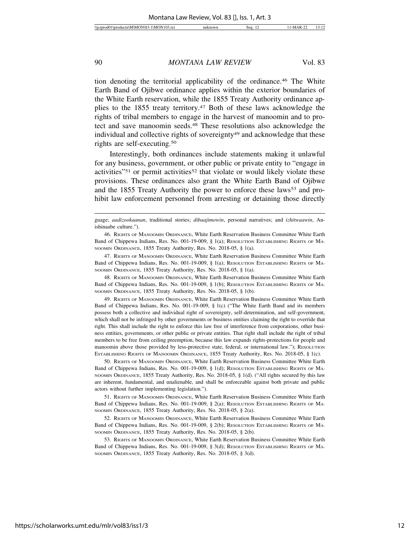tion denoting the territorial applicability of the ordinance.46 The White Earth Band of Ojibwe ordinance applies within the exterior boundaries of the White Earth reservation, while the 1855 Treaty Authority ordinance applies to the 1855 treaty territory.47 Both of these laws acknowledge the rights of tribal members to engage in the harvest of manoomin and to protect and save manoomin seeds.48 These resolutions also acknowledge the individual and collective rights of sovereignty<sup>49</sup> and acknowledge that these rights are self-executing.50

Interestingly, both ordinances include statements making it unlawful for any business, government, or other public or private entity to "engage in activities"<sup>51</sup> or permit activities<sup>52</sup> that violate or would likely violate these provisions. These ordinances also grant the White Earth Band of Ojibwe and the 1855 Treaty Authority the power to enforce these laws<sup>53</sup> and prohibit law enforcement personnel from arresting or detaining those directly

47. RIGHTS OF MANOOMIN ORDINANCE, White Earth Reservation Business Committee White Earth Band of Chippewa Indians, Res. No. 001-19-009, § 1(a); RESOLUTION ESTABLISHING RIGHTS OF MA-NOOMIN ORDINANCE, 1855 Treaty Authority, Res. No. 2018-05, § 1(a).

48. RIGHTS OF MANOOMIN ORDINANCE, White Earth Reservation Business Committee White Earth Band of Chippewa Indians, Res. No. 001-19-009, § 1(b); RESOLUTION ESTABLISHING RIGHTS OF MA-NOOMIN ORDINANCE, 1855 Treaty Authority, Res. No. 2018-05, § 1(b).

49. RIGHTS OF MANOOMIN ORDINANCE, White Earth Reservation Business Committee White Earth Band of Chippewa Indians, Res. No. 001-19-009, § 1(c) ("The White Earth Band and its members possess both a collective and individual right of sovereignty, self-determination, and self-government, which shall not be infringed by other governments or business entities claiming the right to override that right. This shall include the right to enforce this law free of interference from corporations, other business entities, governments, or other public or private entities. That right shall include the right of tribal members to be free from ceiling preemption, because this law expands rights-protections for people and manoomin above those provided by less-protective state, federal, or international law."); RESOLUTION ESTABLISHING RIGHTS OF MANOOMIN ORDINANCE, 1855 Treaty Authority, Res. No. 2018-05, § 1(c).

50. RIGHTS OF MANOOMIN ORDINANCE, White Earth Reservation Business Committee White Earth Band of Chippewa Indians, Res. No. 001-19-009, § 1(d); RESOLUTION ESTABLISHING RIGHTS OF MA-NOOMIN ORDINANCE, 1855 Treaty Authority, Res. No. 2018-05, § 1(d). ("All rights secured by this law are inherent, fundamental, and unalienable, and shall be enforceable against both private and public actors without further implementing legislation.").

51. RIGHTS OF MANOOMIN ORDINANCE, White Earth Reservation Business Committee White Earth Band of Chippewa Indians, Res. No. 001-19-009, § 2(a); RESOLUTION ESTABLISHING RIGHTS OF MA-NOOMIN ORDINANCE, 1855 Treaty Authority, Res. No. 2018-05, § 2(a).

52. RIGHTS OF MANOOMIN ORDINANCE, White Earth Reservation Business Committee White Earth Band of Chippewa Indians, Res. No. 001-19-009, § 2(b); RESOLUTION ESTABLISHING RIGHTS OF MA-NOOMIN ORDINANCE, 1855 Treaty Authority, Res. No. 2018-05, § 2(b).

53. RIGHTS OF MANOOMIN ORDINANCE, White Earth Reservation Business Committee White Earth Band of Chippewa Indians, Res. No. 001-19-009, § 3(d); RESOLUTION ESTABLISHING RIGHTS OF MA-NOOMIN ORDINANCE, 1855 Treaty Authority, Res. No. 2018-05, § 3(d).

guage; *aadizookaanan*, traditional stories; *dibaajimowin*, personal narratives; and *izhitwaawin*, Anishinaabe culture.").

<sup>46.</sup> RIGHTS OF MANOOMIN ORDINANCE, White Earth Reservation Business Committee White Earth Band of Chippewa Indians, Res. No. 001-19-009, § 1(a); RESOLUTION ESTABLISHING RIGHTS OF MA-NOOMIN ORDINANCE, 1855 Treaty Authority, Res. No. 2018-05, § 1(a).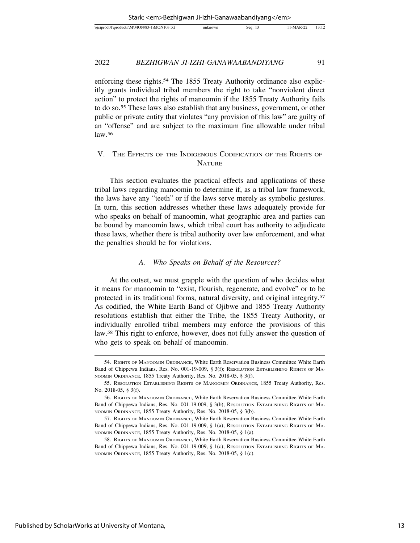#### \)\jciprod01\productn\M\MON\83-1\MON103.txt unknown Seq: 13 11-MAR-22 13:12

#### 2022 *BEZHIGWAN JI-IZHI-GANAWAABANDIYANG* 91

enforcing these rights.<sup>54</sup> The 1855 Treaty Authority ordinance also explicitly grants individual tribal members the right to take "nonviolent direct action" to protect the rights of manoomin if the 1855 Treaty Authority fails to do so.55 These laws also establish that any business, government, or other public or private entity that violates "any provision of this law" are guilty of an "offense" and are subject to the maximum fine allowable under tribal law.56

# V. THE EFFECTS OF THE INDIGENOUS CODIFICATION OF THE RIGHTS OF **NATURE**

This section evaluates the practical effects and applications of these tribal laws regarding manoomin to determine if, as a tribal law framework, the laws have any "teeth" or if the laws serve merely as symbolic gestures. In turn, this section addresses whether these laws adequately provide for who speaks on behalf of manoomin, what geographic area and parties can be bound by manoomin laws, which tribal court has authority to adjudicate these laws, whether there is tribal authority over law enforcement, and what the penalties should be for violations.

### *A. Who Speaks on Behalf of the Resources?*

At the outset, we must grapple with the question of who decides what it means for manoomin to "exist, flourish, regenerate, and evolve" or to be protected in its traditional forms, natural diversity, and original integrity.57 As codified, the White Earth Band of Ojibwe and 1855 Treaty Authority resolutions establish that either the Tribe, the 1855 Treaty Authority, or individually enrolled tribal members may enforce the provisions of this law.58 This right to enforce, however, does not fully answer the question of who gets to speak on behalf of manoomin.

<sup>54.</sup> RIGHTS OF MANOOMIN ORDINANCE, White Earth Reservation Business Committee White Earth Band of Chippewa Indians, Res. No. 001-19-009, § 3(f); RESOLUTION ESTABLISHING RIGHTS OF MA-NOOMIN ORDINANCE, 1855 Treaty Authority, Res. No. 2018-05, § 3(f).

<sup>55.</sup> RESOLUTION ESTABLISHING RIGHTS OF MANOOMIN ORDINANCE, 1855 Treaty Authority, Res. No. 2018-05, § 3(f).

<sup>56.</sup> RIGHTS OF MANOOMIN ORDINANCE, White Earth Reservation Business Committee White Earth Band of Chippewa Indians, Res. No. 001-19-009, § 3(b); RESOLUTION ESTABLISHING RIGHTS OF MA-NOOMIN ORDINANCE, 1855 Treaty Authority, Res. No. 2018-05, § 3(b).

<sup>57.</sup> RIGHTS OF MANOOMIN ORDINANCE, White Earth Reservation Business Committee White Earth Band of Chippewa Indians, Res. No. 001-19-009, § 1(a); RESOLUTION ESTABLISHING RIGHTS OF MA-NOOMIN ORDINANCE, 1855 Treaty Authority, Res. No. 2018-05, § 1(a).

<sup>58.</sup> RIGHTS OF MANOOMIN ORDINANCE, White Earth Reservation Business Committee White Earth Band of Chippewa Indians, Res. No. 001-19-009, § 1(c); RESOLUTION ESTABLISHING RIGHTS OF MA-NOOMIN ORDINANCE, 1855 Treaty Authority, Res. No. 2018-05, § 1(c).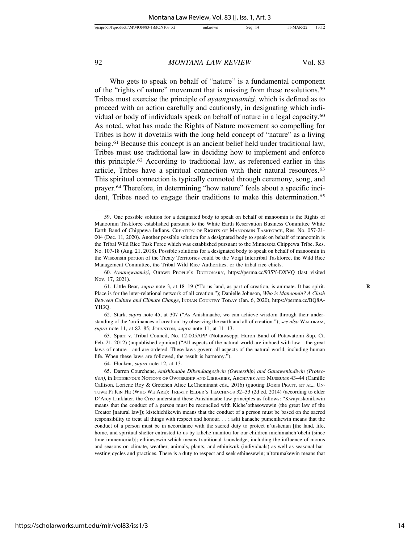Who gets to speak on behalf of "nature" is a fundamental component of the "rights of nature" movement that is missing from these resolutions.59 Tribes must exercise the principle of *ayaangwaamizi*, which is defined as to proceed with an action carefully and cautiously, in designating which individual or body of individuals speak on behalf of nature in a legal capacity.60 As noted, what has made the Rights of Nature movement so compelling for Tribes is how it dovetails with the long held concept of "nature" as a living being.61 Because this concept is an ancient belief held under traditional law, Tribes must use traditional law in deciding how to implement and enforce this principle.62 According to traditional law, as referenced earlier in this article, Tribes have a spiritual connection with their natural resources.63 This spiritual connection is typically connoted through ceremony, song, and prayer.64 Therefore, in determining "how nature" feels about a specific incident, Tribes need to engage their traditions to make this determination.<sup>65</sup>

<sup>59.</sup> One possible solution for a designated body to speak on behalf of manoomin is the Rights of Manoomin Taskforce established pursuant to the White Earth Reservation Business Committee White Earth Band of Chippewa Indians. CREATION OF RIGHTS OF MANOOMIN TASKFORCE, Res. No. 057-21- 004 (Dec. 11, 2020). Another possible solution for a designated body to speak on behalf of manoomin is the Tribal Wild Rice Task Force which was established pursuant to the Minnesota Chippewa Tribe. Res. No. 107-18 (Aug. 21, 2018). Possible solutions for a designated body to speak on behalf of manoomin in the Wisconsin portion of the Treaty Territories could be the Voigt Intertribal Taskforce, the Wild Rice Management Committee, the Tribal Wild Rice Authorities, or the tribal rice chiefs.

<sup>60.</sup> *Ayaangwaamizi*, OJIBWE PEOPLE'S DICTIONARY, https://perma.cc/935Y-DXVQ (last visited Nov. 17, 2021).

<sup>61.</sup> Little Bear, *supra* note 3, at 18–19 ("To us land, as part of creation, is animate. It has spirit. **R** Place is for the inter-relational network of all creation."); Danielle Johnson, *Who is Manoomin? A Clash Between Culture and Climate Change*, INDIAN COUNTRY TODAY (Jan. 6, 2020), https://perma.cc/BQ8A-YH3Q.

<sup>62.</sup> Stark, *supra* note 45, at 307 ("As Anishinaabe, we can achieve wisdom through their understanding of the 'ordinances of creation' by observing the earth and all of creation."); *see also* WALDRAM, *supra* note 11, at 82–85; JOHNSTON, *supra* note 11, at 11–13.

<sup>63.</sup> Spurr v. Tribal Council, No. 12-005APP (Nottawseppi Huron Band of Potawatomi Sup. Ct. Feb. 21, 2012) (unpublished opinion) ("All aspects of the natural world are imbued with law—the great laws of nature—and are ordered. These laws govern all aspects of the natural world, including human life. When these laws are followed, the result is harmony.").

<sup>64.</sup> Flocken, *supra* note 12, at 13.

<sup>65.</sup> Darren Courchene, *Anishinaabe Dibendaagoziwin (Ownership) and Ganawenindiwin (Protection*), in INDIGENOUS NOTIONS OF OWNERSHIP AND LIBRARIES, ARCHIVES AND MUSEUMS 43-44 (Camille Callison, Loriene Roy & Gretchen Alice LeCheminant eds., 2016) (quoting DORIS PRATT, ET AL., UN-TUWE PI KIN HE (WHO WE ARE): TREATY ELDER'S TEACHINGS 32–33 (2d ed. 2014) (according to elder D'Arcy Linklater, the Cree understand these Anishinaabe law principles as follows: "Kwayaskonikiwin means that the conduct of a person must be reconciled with Kiche'othasowewin (the great law of the Creator [natural law]); kistehichikewin means that the conduct of a person must be based on the sacred responsibility to treat all things with respect and honour. . . ; aski kanache pumenikewin means that the conduct of a person must be in accordance with the sacred duty to protect n'tuskenan [the land, life, home, and spiritual shelter entrusted to us by kihche'manitou for our children michimahch'ohchi (since time immemorial)]; ethinesewin which means traditional knowledge, including the influence of moons and seasons on climate, weather, animals, plants, and ethiniwuk (individuals) as well as seasonal harvesting cycles and practices. There is a duty to respect and seek ethinesewin; n'totumakewin means that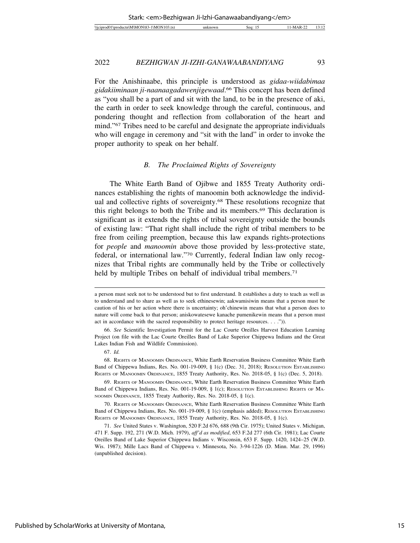#### \)\jciprod01\productn\M\MON\83-1\MON103.txt unknown Seq: 15 11-MAR-22 13:12

#### 2022 *BEZHIGWAN JI-IZHI-GANAWAABANDIYANG* 93

For the Anishinaabe, this principle is understood as *gidaa-wiidabimaa gidakiiminaan ji-naanaagadawenjigewaad*. 66 This concept has been defined as "you shall be a part of and sit with the land, to be in the presence of aki, the earth in order to seek knowledge through the careful, continuous, and pondering thought and reflection from collaboration of the heart and mind."67 Tribes need to be careful and designate the appropriate individuals who will engage in ceremony and "sit with the land" in order to invoke the proper authority to speak on her behalf.

#### *B. The Proclaimed Rights of Sovereignty*

The White Earth Band of Ojibwe and 1855 Treaty Authority ordinances establishing the rights of manoomin both acknowledge the individual and collective rights of sovereignty.68 These resolutions recognize that this right belongs to both the Tribe and its members.69 This declaration is significant as it extends the rights of tribal sovereignty outside the bounds of existing law: "That right shall include the right of tribal members to be free from ceiling preemption, because this law expands rights-protections for *people* and *manoomin* above those provided by less-protective state, federal, or international law."70 Currently, federal Indian law only recognizes that Tribal rights are communally held by the Tribe or collectively held by multiple Tribes on behalf of individual tribal members.<sup>71</sup>

a person must seek not to be understood but to first understand. It establishes a duty to teach as well as to understand and to share as well as to seek ethinesewin; aakwamisiwin means that a person must be caution of his or her action where there is uncertainty; oh'chinewin means that what a person does to nature will come back to that person; aniskowatesewe kanache pumenikewin means that a person must act in accordance with the sacred responsibility to protect heritage resources. . . .")).

<sup>66.</sup> *See* Scientific Investigation Permit for the Lac Courte Oreilles Harvest Education Learning Project (on file with the Lac Courte Oreilles Band of Lake Superior Chippewa Indians and the Great Lakes Indian Fish and Wildlife Commission).

<sup>67.</sup> *Id.*

<sup>68.</sup> RIGHTS OF MANOOMIN ORDINANCE, White Earth Reservation Business Committee White Earth Band of Chippewa Indians, Res. No. 001-19-009, § 1(c) (Dec. 31, 2018); RESOLUTION ESTABLISHING RIGHTS OF MANOOMIN ORDINANCE, 1855 Treaty Authority, Res. No. 2018-05, § 1(c) (Dec. 5, 2018).

<sup>69.</sup> RIGHTS OF MANOOMIN ORDINANCE, White Earth Reservation Business Committee White Earth Band of Chippewa Indians, Res. No. 001-19-009, § 1(c); RESOLUTION ESTABLISHING RIGHTS OF MA-NOOMIN ORDINANCE, 1855 Treaty Authority, Res. No. 2018-05, § 1(c).

<sup>70.</sup> RIGHTS OF MANOOMIN ORDINANCE, White Earth Reservation Business Committee White Earth Band of Chippewa Indians, Res. No. 001-19-009, § 1(c) (emphasis added); RESOLUTION ESTABLISHING RIGHTS OF MANOOMIN ORDINANCE, 1855 Treaty Authority, Res. No. 2018-05, § 1(c).

<sup>71.</sup> *See* United States v. Washington, 520 F.2d 676, 688 (9th Cir. 1975); United States v. Michigan, 471 F. Supp. 192, 271 (W.D. Mich. 1979), *aff'd as modified*, 653 F.2d 277 (6th Cir. 1981); Lac Courte Oreilles Band of Lake Superior Chippewa Indians v. Wisconsin, 653 F. Supp. 1420, 1424–25 (W.D. Wis. 1987); Mille Lacs Band of Chippewa v. Minnesota, No. 3-94-1226 (D. Minn. Mar. 29, 1996) (unpublished decision).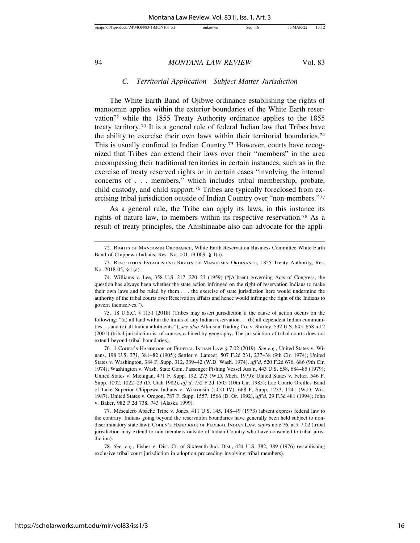#### *C. Territorial Application—Subject Matter Jurisdiction*

The White Earth Band of Ojibwe ordinance establishing the rights of manoomin applies within the exterior boundaries of the White Earth reservation72 while the 1855 Treaty Authority ordinance applies to the 1855 treaty territory.73 It is a general rule of federal Indian law that Tribes have the ability to exercise their own laws within their territorial boundaries.74 This is usually confined to Indian Country.75 However, courts have recognized that Tribes can extend their laws over their "members" in the area encompassing their traditional territories in certain instances, such as in the exercise of treaty reserved rights or in certain cases "involving the internal concerns of . . . members," which includes tribal membership, probate, child custody, and child support.76 Tribes are typically foreclosed from exercising tribal jurisdiction outside of Indian Country over "non-members."77

As a general rule, the Tribe can apply its laws, in this instance its rights of nature law, to members within its respective reservation.78 As a result of treaty principles, the Anishinaabe also can advocate for the appli-

75. 18 U.S.C. § 1151 (2018) (Tribes may assert jurisdiction if the cause of action occurs on the following: "(a) all land within the limits of any Indian reservation. . . (b) all dependent Indian communities. . . and (c) all Indian allotments."); *see also* Atkinson Trading Co. v. Shirley, 532 U.S. 645, 658 n.12 (2001) (tribal jurisdiction is, of course, cabined by geography. The jurisdiction of tribal courts does not extend beyond tribal boundaries).

76. 1 COHEN'S HANDBOOK OF FEDERAL INDIAN LAW § 7.02 (2019). *See e.g.*, United States v. Winans, 198 U.S. 371, 381–82 (1905); Settler v. Lameer, 507 F.2d 231, 237–38 (9th Cir. 1974); United States v. Washington, 384 F. Supp. 312, 339–42 (W.D. Wash. 1974), *aff'd*, 520 F.2d 676, 686 (9th Cir. 1974); Washington v. Wash. State Com. Passenger Fishing Vessel Ass'n, 443 U.S. 658, 684–85 (1979); United States v. Michigan, 471 F. Supp. 192, 273 (W.D. Mich. 1979); United States v. Felter, 546 F. Supp. 1002, 1022–23 (D. Utah 1982), *aff'd*, 752 F.2d 1505 (10th Cir. 1985); Lac Courte Oreilles Band of Lake Superior Chippewa Indians v. Wisconsin (LCO IV), 668 F. Supp. 1233, 1241 (W.D. Wis. 1987); United States v. Oregon, 787 F. Supp. 1557, 1566 (D. Or. 1992), *aff'd*, 29 F.3d 481 (1994); John v. Baker, 982 P.2d 738, 743 (Alaska 1999).

77. Mescalero Apache Tribe v. Jones, 411 U.S. 145, 148–49 (1973) (absent express federal law to the contrary, Indians going beyond the reservation boundaries have generally been held subject to nondiscriminatory state law); COHEN'S HANDBOOK OF FEDERAL INDIAN LAW, *supra* note 76, at § 7.02 (tribal jurisdiction may extend to non-members outside of Indian Country who have consented to tribal jurisdiction).

<sup>72.</sup> RIGHTS OF MANOOMIN ORDINANCE, White Earth Reservation Business Committee White Earth Band of Chippewa Indians, Res. No. 001-19-009, § 1(a).

<sup>73.</sup> RESOLUTION ESTABLISHING RIGHTS OF MANOOMIN ORDINANCE, 1855 Treaty Authority, Res. No. 2018-05, § 1(a).

<sup>74.</sup> Williams v. Lee, 358 U.S. 217, 220–23 (1959) ("[A]bsent governing Acts of Congress, the question has always been whether the state action infringed on the right of reservation Indians to make their own laws and be ruled by them . . . the exercise of state jurisdiction here would undermine the authority of the tribal courts over Reservation affairs and hence would infringe the right of the Indians to govern themselves.").

<sup>78.</sup> *See*, *e.g.*, Fisher v. Dist. Ct. of Sixteenth Jud. Dist., 424 U.S. 382, 389 (1976) (establishing exclusive tribal court jurisdiction in adoption proceeding involving tribal members).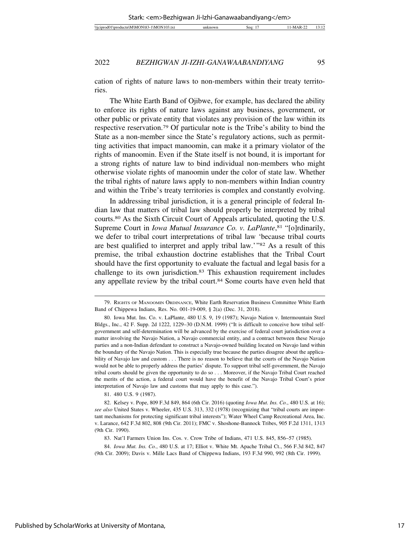#### \)\jciprod01\productn\M\MON\83-1\MON103.txt unknown Seq: 17 11-MAR-22 13:12

#### 2022 *BEZHIGWAN JI-IZHI-GANAWAABANDIYANG* 95

cation of rights of nature laws to non-members within their treaty territories.

The White Earth Band of Ojibwe, for example, has declared the ability to enforce its rights of nature laws against any business, government, or other public or private entity that violates any provision of the law within its respective reservation.79 Of particular note is the Tribe's ability to bind the State as a non-member since the State's regulatory actions, such as permitting activities that impact manoomin, can make it a primary violator of the rights of manoomin. Even if the State itself is not bound, it is important for a strong rights of nature law to bind individual non-members who might otherwise violate rights of manoomin under the color of state law. Whether the tribal rights of nature laws apply to non-members within Indian country and within the Tribe's treaty territories is complex and constantly evolving.

In addressing tribal jurisdiction, it is a general principle of federal Indian law that matters of tribal law should properly be interpreted by tribal courts.80 As the Sixth Circuit Court of Appeals articulated, quoting the U.S. Supreme Court in *Iowa Mutual Insurance Co. v. LaPlante*, 81 "[o]rdinarily, we defer to tribal court interpretations of tribal law 'because tribal courts are best qualified to interpret and apply tribal law.'"82 As a result of this premise, the tribal exhaustion doctrine establishes that the Tribal Court should have the first opportunity to evaluate the factual and legal basis for a challenge to its own jurisdiction.83 This exhaustion requirement includes any appellate review by the tribal court.<sup>84</sup> Some courts have even held that

81. 480 U.S. 9 (1987).

<sup>79.</sup> RIGHTS OF MANOOMIN ORDINANCE, White Earth Reservation Business Committee White Earth Band of Chippewa Indians, Res. No. 001-19-009, § 2(a) (Dec. 31, 2018).

<sup>80.</sup> Iowa Mut. Ins. Co. v. LaPlante, 480 U.S. 9, 19 (1987); Navajo Nation v. Intermountain Steel Bldgs., Inc., 42 F. Supp. 2d 1222, 1229–30 (D.N.M. 1999) ("It is difficult to conceive how tribal selfgovernment and self-determination will be advanced by the exercise of federal court jurisdiction over a matter involving the Navajo Nation, a Navajo commercial entity, and a contract between these Navajo parties and a non-Indian defendant to construct a Navajo-owned building located on Navajo land within the boundary of the Navajo Nation. This is especially true because the parties disagree about the applicability of Navajo law and custom . . . There is no reason to believe that the courts of the Navajo Nation would not be able to properly address the parties' dispute. To support tribal self-government, the Navajo tribal courts should be given the opportunity to do so . . . Moreover, if the Navajo Tribal Court reached the merits of the action, a federal court would have the benefit of the Navajo Tribal Court's prior interpretation of Navajo law and customs that may apply to this case.").

<sup>82.</sup> Kelsey v. Pope, 809 F.3d 849, 864 (6th Cir. 2016) (quoting *Iowa Mut. Ins. Co.*, 480 U.S. at 16); *see also* United States v. Wheeler, 435 U.S. 313, 332 (1978) (recognizing that "tribal courts are important mechanisms for protecting significant tribal interests"); Water Wheel Camp Recreational Area, Inc. v. Larance, 642 F.3d 802, 808 (9th Cir. 2011); FMC v. Shoshone-Bannock Tribes, 905 F.2d 1311, 1313 (9th Cir. 1990).

<sup>83.</sup> Nat'l Farmers Union Ins. Cos. v. Crow Tribe of Indians, 471 U.S. 845, 856–57 (1985).

<sup>84.</sup> *Iowa Mut. Ins. Co.*, 480 U.S. at 17; Elliot v. White Mt. Apache Tribal Ct., 566 F.3d 842, 847 (9th Cir. 2009); Davis v. Mille Lacs Band of Chippewa Indians, 193 F.3d 990, 992 (8th Cir. 1999).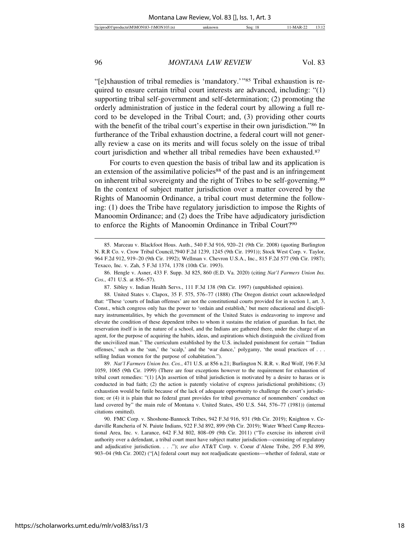"[e]xhaustion of tribal remedies is 'mandatory.'"85 Tribal exhaustion is required to ensure certain tribal court interests are advanced, including: "(1) supporting tribal self-government and self-determination; (2) promoting the orderly administration of justice in the federal court by allowing a full record to be developed in the Tribal Court; and, (3) providing other courts with the benefit of the tribal court's expertise in their own jurisdiction."<sup>86</sup> In furtherance of the Tribal exhaustion doctrine, a federal court will not generally review a case on its merits and will focus solely on the issue of tribal court jurisdiction and whether all tribal remedies have been exhausted.87

For courts to even question the basis of tribal law and its application is an extension of the assimilative policies<sup>88</sup> of the past and is an infringement on inherent tribal sovereignty and the right of Tribes to be self-governing.89 In the context of subject matter jurisdiction over a matter covered by the Rights of Manoomin Ordinance, a tribal court must determine the following: (1) does the Tribe have regulatory jurisdiction to impose the Rights of Manoomin Ordinance; and (2) does the Tribe have adjudicatory jurisdiction to enforce the Rights of Manoomin Ordinance in Tribal Court?90

89. *Nat'l Farmers Union Ins. Cos.*, 471 U.S. at 856 n.21; Burlington N. R.R. v. Red Wolf, 196 F.3d 1059, 1065 (9th Cir. 1999) (There are four exceptions however to the requirement for exhaustion of tribal court remedies: "(1) [A]n assertion of tribal jurisdiction is motivated by a desire to harass or is conducted in bad faith; (2) the action is patently violative of express jurisdictional prohibitions; (3) exhaustion would be futile because of the lack of adequate opportunity to challenge the court's jurisdiction; or (4) it is plain that no federal grant provides for tribal governance of nonmembers' conduct on land covered by" the main rule of Montana v. United States, 450 U.S. 544, 576–77 (1981)) (internal citations omitted).

<sup>85.</sup> Marceau v. Blackfoot Hous. Auth., 540 F.3d 916, 920–21 (9th Cir. 2008) (quoting Burlington N. R.R Co. v. Crow Tribal Council,?940 F.2d 1239, 1245 (9th Cir. 1991)); Stock West Corp. v. Taylor, 964 F.2d 912, 919–20 (9th Cir. 1992); Wellman v. Chevron U.S.A., Inc., 815 F.2d 577 (9th Cir. 1987); Texaco, Inc. v. Zah, 5 F.3d 1374, 1378 (10th Cir. 1993).

<sup>86.</sup> Hengle v. Asner, 433 F. Supp. 3d 825, 860 (E.D. Va. 2020) (citing *Nat'l Farmers Union Ins. Cos.*, 471 U.S. at 856–57).

<sup>87.</sup> Sibley v. Indian Health Servs., 111 F.3d 138 (9th Cir. 1997) (unpublished opinion).

<sup>88.</sup> United States v. Clapox, 35 F. 575, 576–77 (1888) (The Oregon district court acknowledged that: "These 'courts of Indian offenses' are not the constitutional courts provided for in section 1, art. 3, Const., which congress only has the power to 'ordain and establish,' but mere educational and disciplinary instrumentalities, by which the government of the United States is endeavoring to improve and elevate the condition of these dependent tribes to whom it sustains the relation of guardian. In fact, the reservation itself is in the nature of a school, and the Indians are gathered there, under the charge of an agent, for the purpose of acquiring the habits, ideas, and aspirations which distinguish the civilized from the uncivilized man." The curriculum established by the U.S. included punishment for certain "'Indian offenses,' such as the 'sun,' the 'scalp,' and the 'war dance,' polygamy, 'the usual practices of . . . selling Indian women for the purpose of cohabitation.").

<sup>90.</sup> FMC Corp. v. Shoshone-Bannock Tribes, 942 F.3d 916, 931 (9th Cir. 2019); Knighton v. Cedarville Rancheria of N. Paiute Indians, 922 F.3d 892, 899 (9th Cir. 2019); Water Wheel Camp Recreational Area, Inc. v. Larance, 642 F.3d 802, 808–09 (9th Cir. 2011) ("To exercise its inherent civil authority over a defendant, a tribal court must have subject matter jurisdiction—consisting of regulatory and adjudicative jurisdiction. . . ."); *see also* AT&T Corp. v. Coeur d'Alene Tribe, 295 F.3d 899, 903–04 (9th Cir. 2002) ("[A] federal court may not readjudicate questions—whether of federal, state or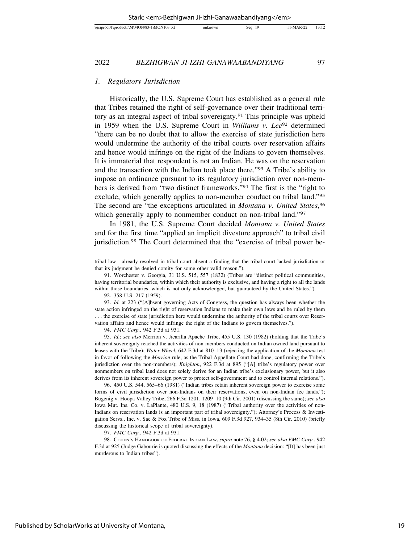#### \)\jciprod01\productn\M\MON\83-1\MON103.txt unknown Seq: 19 11-MAR-22 13:12

#### 2022 *BEZHIGWAN JI-IZHI-GANAWAABANDIYANG* 97

#### *1. Regulatory Jurisdiction*

Historically, the U.S. Supreme Court has established as a general rule that Tribes retained the right of self-governance over their traditional territory as an integral aspect of tribal sovereignty.91 This principle was upheld in 1959 when the U.S. Supreme Court in *Williams v. Lee*92 determined "there can be no doubt that to allow the exercise of state jurisdiction here would undermine the authority of the tribal courts over reservation affairs and hence would infringe on the right of the Indians to govern themselves. It is immaterial that respondent is not an Indian. He was on the reservation and the transaction with the Indian took place there."93 A Tribe's ability to impose an ordinance pursuant to its regulatory jurisdiction over non-members is derived from "two distinct frameworks."94 The first is the "right to exclude, which generally applies to non-member conduct on tribal land."95 The second are "the exceptions articulated in *Montana v. United States*, 96 which generally apply to nonmember conduct on non-tribal land."<sup>97</sup>

In 1981, the U.S. Supreme Court decided *Montana v. United States* and for the first time "applied an implicit divesture approach" to tribal civil jurisdiction.<sup>98</sup> The Court determined that the "exercise of tribal power be-

94. *FMC Corp.*, 942 F.3d at 931.

95. *Id.*; *see also* Merrion v. Jicarilla Apache Tribe, 455 U.S. 130 (1982) (holding that the Tribe's inherent sovereignty reached the activities of non-members conducted on Indian owned land pursuant to leases with the Tribe); *Water Wheel*, 642 F.3d at 810–13 (rejecting the application of the *Montana* test in favor of following the *Merrion* rule, as the Tribal Appellate Court had done, confirming the Tribe's jurisdiction over the non-members); *Knighton*, 922 F.3d at 895 ("[A] tribe's regulatory power over nonmembers on tribal land does not solely derive for an Indian tribe's exclusionary power, but it also derives from its inherent sovereign power to protect self-government and to control internal relations.").

96. 450 U.S. 544, 565–66 (1981) ("Indian tribes retain inherent sovereign power to exercise some forms of civil jurisdiction over non-Indians on their reservations, even on non-Indian fee lands."); Bugenig v. Hoopa Valley Tribe, 266 F.3d 1201, 1209–10 (9th Cir. 2001) (discussing the same); *see also* Iowa Mut. Ins. Co. v. LaPlante, 480 U.S. 9, 18 (1987) ("Tribal authority over the activities of non-Indians on reservation lands is an important part of tribal sovereignty."); Attorney's Process & Investigation Servs., Inc. v. Sac & Fox Tribe of Miss. in Iowa, 609 F.3d 927, 934–35 (8th Cir. 2010) (briefly discussing the historical scope of tribal sovereignty).

97. *FMC Corp.*, 942 F.3d at 931.

98. COHEN'S HANDBOOK OF FEDERAL INDIAN LAW, *supra* note 76, § 4.02; *see also FMC Corp.*, 942 F.3d at 925 (Judge Gabourie is quoted discussing the effects of the *Montana* decision: "[It] has been just murderous to Indian tribes").

tribal law—already resolved in tribal court absent a finding that the tribal court lacked jurisdiction or that its judgment be denied comity for some other valid reason.").

<sup>91.</sup> Worchester v. Georgia, 31 U.S. 515, 557 (1832) (Tribes are "distinct political communities, having territorial boundaries, within which their authority is exclusive, and having a right to all the lands within those boundaries, which is not only acknowledged, but guaranteed by the United States.").

<sup>92. 358</sup> U.S. 217 (1959).

<sup>93.</sup> *Id.* at 223 ("[A]bsent governing Acts of Congress, the question has always been whether the state action infringed on the right of reservation Indians to make their own laws and be ruled by them . . . the exercise of state jurisdiction here would undermine the authority of the tribal courts over Reservation affairs and hence would infringe the right of the Indians to govern themselves.").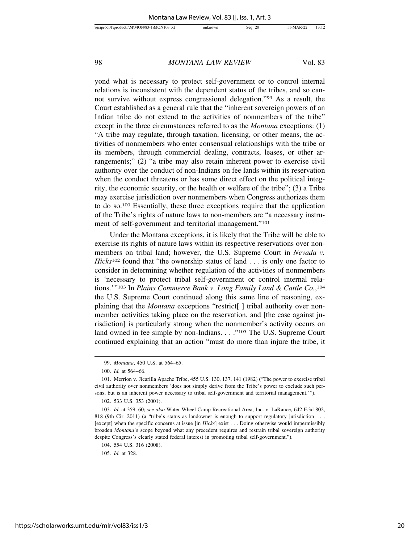yond what is necessary to protect self-government or to control internal relations is inconsistent with the dependent status of the tribes, and so cannot survive without express congressional delegation."99 As a result, the Court established as a general rule that the "inherent sovereign powers of an Indian tribe do not extend to the activities of nonmembers of the tribe" except in the three circumstances referred to as the *Montana* exceptions: (1) "A tribe may regulate, through taxation, licensing, or other means, the activities of nonmembers who enter consensual relationships with the tribe or its members, through commercial dealing, contracts, leases, or other arrangements;" (2) "a tribe may also retain inherent power to exercise civil authority over the conduct of non-Indians on fee lands within its reservation when the conduct threatens or has some direct effect on the political integrity, the economic security, or the health or welfare of the tribe"; (3) a Tribe may exercise jurisdiction over nonmembers when Congress authorizes them to do so.100 Essentially, these three exceptions require that the application of the Tribe's rights of nature laws to non-members are "a necessary instrument of self-government and territorial management."101

Under the Montana exceptions, it is likely that the Tribe will be able to exercise its rights of nature laws within its respective reservations over nonmembers on tribal land; however, the U.S. Supreme Court in *Nevada v. Hicks*102 found that "the ownership status of land . . . is only one factor to consider in determining whether regulation of the activities of nonmembers is 'necessary to protect tribal self-government or control internal relations.'"103 In *Plains Commerce Bank v. Long Family Land & Cattle Co.*, 104 the U.S. Supreme Court continued along this same line of reasoning, explaining that the *Montana* exceptions "restrict[ ] tribal authority over nonmember activities taking place on the reservation, and [the case against jurisdiction] is particularly strong when the nonmember's activity occurs on land owned in fee simple by non-Indians. . . . "<sup>105</sup> The U.S. Supreme Court continued explaining that an action "must do more than injure the tribe, it

104. 554 U.S. 316 (2008).

105. *Id.* at 328.

<sup>99.</sup> *Montana*, 450 U.S. at 564–65.

<sup>100.</sup> *Id.* at 564–66.

<sup>101.</sup> Merrion v. Jicarilla Apache Tribe, 455 U.S. 130, 137, 141 (1982) ("The power to exercise tribal civil authority over nonmembers 'does not simply derive from the Tribe's power to exclude such persons, but is an inherent power necessary to tribal self-government and territorial management.'").

<sup>102. 533</sup> U.S. 353 (2001).

<sup>103.</sup> *Id.* at 359–60; *see also* Water Wheel Camp Recreational Area, Inc. v. LaRance, 642 F.3d 802, 818 (9th Cir. 2011) (a "tribe's status as landowner is enough to support regulatory jurisdiction . . . [except] when the specific concerns at issue [in *Hicks*] exist . . . Doing otherwise would impermissibly broaden *Montana*'s scope beyond what any precedent requires and restrain tribal sovereign authority despite Congress's clearly stated federal interest in promoting tribal self-government.").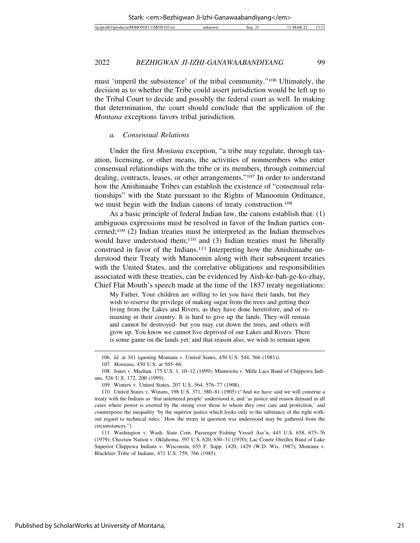must 'imperil the subsistence' of the tribal community."106 Ultimately, the decision as to whether the Tribe could assert jurisdiction would be left up to the Tribal Court to decide and possibly the federal court as well. In making that determination, the court should conclude that the application of the *Montana* exceptions favors tribal jurisdiction.

# *a. Consensual Relations*

Under the first *Montana* exception, "a tribe may regulate, through taxation, licensing, or other means, the activities of nonmembers who enter consensual relationships with the tribe or its members, through commercial dealing, contracts, leases, or other arrangements."107 In order to understand how the Anishinaabe Tribes can establish the existence of "consensual relationships" with the State pursuant to the Rights of Manoomin Ordinance, we must begin with the Indian canons of treaty construction.<sup>108</sup>

As a basic principle of federal Indian law, the canons establish that: (1) ambiguous expressions must be resolved in favor of the Indian parties concerned;109 (2) Indian treaties must be interpreted as the Indian themselves would have understood them; $110$  and (3) Indian treaties must be liberally construed in favor of the Indians.111 Interpreting how the Anishinaabe understood their Treaty with Manoomin along with their subsequent treaties with the United States, and the correlative obligations and responsibilities associated with these treaties, can be evidenced by Aish-ke-bah-ge-ko-zhay, Chief Flat Mouth's speech made at the time of the 1837 treaty negotiations:

My Father, Your children are willing to let you have their lands, but they wish to reserve the privilege of making sugar from the trees and getting their living from the Lakes and Rivers, as they have done heretofore, and of remaining in their country. It is hard to give up the lands. They will remain and cannot be destroyed- but you may cut down the trees, and others will grow up. You know we cannot live deprived of our Lakes and Rivers. There is some game on the lands yet; and that reason also, we wish to remain upon

<sup>106.</sup> *Id.* at 341 (quoting Montana v. United States*,* 450 U.S. 544, 566 (1981)).

<sup>107.</sup> *Montana*, 450 U.S. at 565–66.

<sup>108.</sup> Jones v. Meehan, 175 U.S. 1, 10–12 (1899); Minnesota v. Mille Lacs Band of Chippewa Indians, 526 U.S. 172, 200 (1999).

<sup>109.</sup> Winters v. United States, 207 U.S. 564, 576–77 (1908).

<sup>110.</sup> United States v. Winans, 198 U.S. 371, 380–81 (1905) ("And we have said we will construe a treaty with the Indians as 'that unlettered people' understood it, and 'as justice and reason demand in all cases where power is exerted by the strong over those to whom they owe care and protection,' and counterpoise the inequality 'by the superior justice which looks only to the substance of the right without regard to technical rules.' How the treaty in question was understood may be gathered from the circumstances.").

<sup>111.</sup> Washington v. Wash. State Com. Passenger Fishing Vessel Ass'n, 443 U.S. 658, 675–76 (1979); Choctaw Nation v. Oklahoma, 397 U.S. 620, 630–31 (1970); Lac Courte Oreilles Band of Lake Superior Chippewa Indians v. Wisconsin, 653 F. Supp. 1420, 1429 (W.D. Wis. 1987); Montana v. Blackfeet Tribe of Indians, 471 U.S. 759, 766 (1985).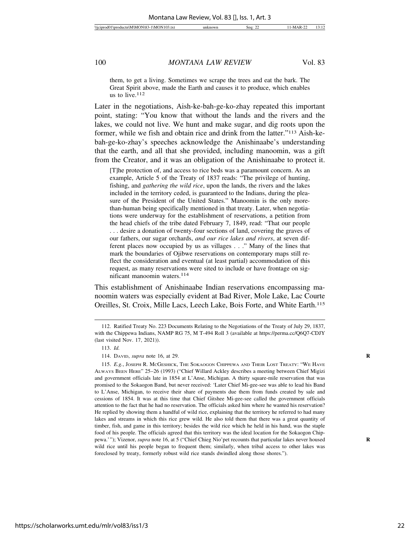them, to get a living. Sometimes we scrape the trees and eat the bark. The Great Spirit above, made the Earth and causes it to produce, which enables us to live.112

Later in the negotiations, Aish-ke-bah-ge-ko-zhay repeated this important point, stating: "You know that without the lands and the rivers and the lakes, we could not live. We hunt and make sugar, and dig roots upon the former, while we fish and obtain rice and drink from the latter."113 Aish-kebah-ge-ko-zhay's speeches acknowledge the Anishinaabe's understanding that the earth, and all that she provided, including manoomin, was a gift from the Creator, and it was an obligation of the Anishinaabe to protect it.

[T]he protection of, and access to rice beds was a paramount concern. As an example, Article 5 of the Treaty of 1837 reads: "The privilege of hunting, fishing, and *gathering the wild rice*, upon the lands, the rivers and the lakes included in the territory ceded, is guaranteed to the Indians, during the pleasure of the President of the United States." Manoomin is the only morethan-human being specifically mentioned in that treaty. Later, when negotiations were underway for the establishment of reservations, a petition from the head chiefs of the tribe dated February 7, 1849, read: "That our people . . . desire a donation of twenty-four sections of land, covering the graves of our fathers, our sugar orchards, *and our rice lakes and rivers*, at seven different places now occupied by us as villages . . ." Many of the lines that mark the boundaries of Ojibwe reservations on contemporary maps still reflect the consideration and eventual (at least partial) accommodation of this request, as many reservations were sited to include or have frontage on significant manoomin waters.114

This establishment of Anishinaabe Indian reservations encompassing manoomin waters was especially evident at Bad River, Mole Lake, Lac Courte Oreilles, St. Croix, Mille Lacs, Leech Lake, Bois Forte, and White Earth.115

115. *E.g.*, JOSEPH R. MCGESHICK, THE SOKAOGON CHIPPEWA AND THEIR LOST TREATY: "WE HAVE ALWAYS BEEN HERE" 25–26 (1993) ("Chief Willard Ackley describes a meeting between Chief Migizi and government officials late in 1854 at L'Anse, Michigan. A thirty square-mile reservation that was promised to the Sokaogon Band, but never received: 'Later Chief Mi-gee-see was able to lead his Band to L'Anse, Michigan, to receive their share of payments due them from funds created by sale and cessions of 1854. It was at this time that Chief Gitshee Mi-gee-see called the government officials attention to the fact that he had no reservation. The officials asked him where he wanted his reservation? He replied by showing them a handful of wild rice, explaining that the territory he referred to had many lakes and streams in which this rice grew wild. He also told them that there was a great quantity of timber, fish, and game in this territory; besides the wild rice which he held in his hand, was the staple food of his people. The officials agreed that this territory was the ideal location for the Sokaogon Chippewa.'"); Vizenor, *supra* note 16, at 5 ("Chief Chieg Nio'pet recounts that particular lakes never housed **R** wild rice until his people began to frequent them; similarly, when tribal access to other lakes was foreclosed by treaty, formerly robust wild rice stands dwindled along those shores.").

<sup>112.</sup> Ratified Treaty No. 223 Documents Relating to the Negotiations of the Treaty of July 29, 1837, with the Chippewa Indians, NAMP RG 75, M T-494 Roll 3 (available at https://perma.cc/Q6Q7-CDJY (last visited Nov. 17, 2021)).

<sup>113.</sup> *Id.*

<sup>114.</sup> DAVID, *supra* note 16, at 29. **R**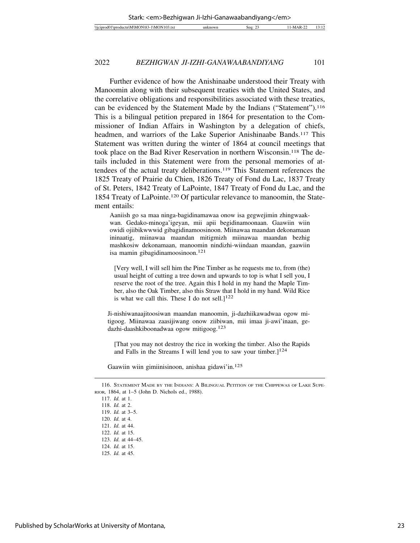Further evidence of how the Anishinaabe understood their Treaty with Manoomin along with their subsequent treaties with the United States, and the correlative obligations and responsibilities associated with these treaties, can be evidenced by the Statement Made by the Indians ("Statement").116 This is a bilingual petition prepared in 1864 for presentation to the Commissioner of Indian Affairs in Washington by a delegation of chiefs, headmen, and warriors of the Lake Superior Anishinaabe Bands.<sup>117</sup> This Statement was written during the winter of 1864 at council meetings that took place on the Bad River Reservation in northern Wisconsin.118 The details included in this Statement were from the personal memories of attendees of the actual treaty deliberations.119 This Statement references the 1825 Treaty of Prairie du Chien, 1826 Treaty of Fond du Lac, 1837 Treaty of St. Peters, 1842 Treaty of LaPointe, 1847 Treaty of Fond du Lac, and the 1854 Treaty of LaPointe.120 Of particular relevance to manoomin, the Statement entails:

Aaniish go sa maa ninga-bagidinamawaa onow isa gegwejimin zhingwaakwan. Gedako-minoga'igeyan, mii apii begidinamoonaan. Gaawiin wiin owidi ojiibikwwwid gibagidinamoosinoon. Miinawaa maandan dekonamaan ininaatig, miinawaa maandan mitigmizh miinawaa maandan bezhig mashkosiw dekonamaan, manoomin nindizhi-wiindaan maandan, gaawiin isa mamin gibagidinamoosinoon.121

[Very well, I will sell him the Pine Timber as he requests me to, from (the) usual height of cutting a tree down and upwards to top is what I sell you, I reserve the root of the tree. Again this I hold in my hand the Maple Timber, also the Oak Timber, also this Straw that I hold in my hand. Wild Rice is what we call this. These I do not sell.] $122$ 

Ji-nishiwanaajitoosiwan maandan manoomin, ji-dazhiikawadwaa ogow mitigoog. Miinawaa zaasijiwang onow ziibiwan, mii imaa ji-awi'inaan, gedazhi-daashkiboonadwaa ogow mitigoog.123

[That you may not destroy the rice in working the timber. Also the Rapids and Falls in the Streams I will lend you to saw your timber.]<sup>124</sup>

Gaawiin wiin gimiinisinoon, anishaa gidawi'in.<sup>125</sup>

<sup>116.</sup> STATEMENT MADE BY THE INDIANS: A BILINGUAL PETITION OF THE CHIPPEWAS OF LAKE SUPE-RIOR*,* 1864, at 1–5 (John D. Nichols ed., 1988).

<sup>117.</sup> *Id.* at 1. 118. *Id.* at 2. 119. *Id.* at 3–5. 120. *Id.* at 4. 121. *Id.* at 44. 122. *Id.* at 15. 123. *Id.* at 44–45.

<sup>124.</sup> *Id.* at 15.

<sup>125.</sup> *Id.* at 45.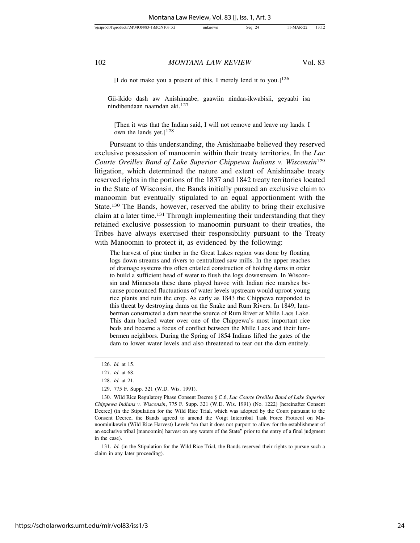[I do not make you a present of this, I merely lend it to you.] $126$ 

Gii-ikido dash aw Anishinaabe, gaawiin nindaa-ikwabisii, geyaabi isa nindibendaan naamdan aki.127

[Then it was that the Indian said, I will not remove and leave my lands. I own the lands yet. $]^{128}$ 

Pursuant to this understanding, the Anishinaabe believed they reserved exclusive possession of manoomin within their treaty territories. In the *Lac Courte Oreilles Band of Lake Superior Chippewa Indians v. Wisconsin*<sup>129</sup> litigation, which determined the nature and extent of Anishinaabe treaty reserved rights in the portions of the 1837 and 1842 treaty territories located in the State of Wisconsin, the Bands initially pursued an exclusive claim to manoomin but eventually stipulated to an equal apportionment with the State.130 The Bands, however, reserved the ability to bring their exclusive claim at a later time.131 Through implementing their understanding that they retained exclusive possession to manoomin pursuant to their treaties, the Tribes have always exercised their responsibility pursuant to the Treaty with Manoomin to protect it, as evidenced by the following:

The harvest of pine timber in the Great Lakes region was done by floating logs down streams and rivers to centralized saw mills. In the upper reaches of drainage systems this often entailed construction of holding dams in order to build a sufficient head of water to flush the logs downstream. In Wisconsin and Minnesota these dams played havoc with Indian rice marshes because pronounced fluctuations of water levels upstream would uproot young rice plants and ruin the crop. As early as 1843 the Chippewa responded to this threat by destroying dams on the Snake and Rum Rivers. In 1849, lumberman constructed a dam near the source of Rum River at Mille Lacs Lake. This dam backed water over one of the Chippewa's most important rice beds and became a focus of conflict between the Mille Lacs and their lumbermen neighbors. During the Spring of 1854 Indians lifted the gates of the dam to lower water levels and also threatened to tear out the dam entirely.

131. *Id.* (in the Stipulation for the Wild Rice Trial, the Bands reserved their rights to pursue such a claim in any later proceeding).

<sup>126.</sup> *Id.* at 15.

<sup>127.</sup> *Id.* at 68.

<sup>128.</sup> *Id.* at 21.

<sup>129. 775</sup> F. Supp. 321 (W.D. Wis. 1991).

<sup>130.</sup> Wild Rice Regulatory Phase Consent Decree § C.6, *Lac Courte Oreilles Band of Lake Superior Chippewa Indians v. Wisconsin*, 775 F. Supp. 321 (W.D. Wis. 1991) (No. 1222) [hereinafter Consent Decree] (in the Stipulation for the Wild Rice Trial, which was adopted by the Court pursuant to the Consent Decree, the Bands agreed to amend the Voigt Intertribal Task Force Protocol on Manoominikewin (Wild Rice Harvest) Levels "so that it does not purport to allow for the establishment of an exclusive tribal [manoomin] harvest on any waters of the State" prior to the entry of a final judgment in the case).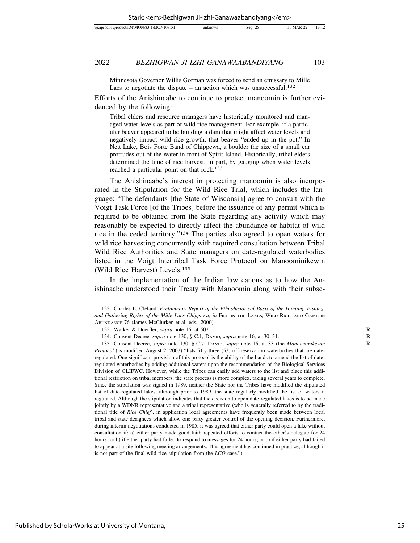Minnesota Governor Willis Gorman was forced to send an emissary to Mille Lacs to negotiate the dispute – an action which was unsuccessful.<sup>132</sup>

Efforts of the Anishinaabe to continue to protect manoomin is further evidenced by the following:

Tribal elders and resource managers have historically monitored and managed water levels as part of wild rice management. For example, if a particular beaver appeared to be building a dam that might affect water levels and negatively impact wild rice growth, that beaver "ended up in the pot." In Nett Lake, Bois Forte Band of Chippewa, a boulder the size of a small car protrudes out of the water in front of Spirit Island. Historically, tribal elders determined the time of rice harvest, in part, by gauging when water levels reached a particular point on that rock.<sup>133</sup>

The Anishinaabe's interest in protecting manoomin is also incorporated in the Stipulation for the Wild Rice Trial, which includes the language: "The defendants [the State of Wisconsin] agree to consult with the Voigt Task Force [of the Tribes] before the issuance of any permit which is required to be obtained from the State regarding any activity which may reasonably be expected to directly affect the abundance or habitat of wild rice in the ceded territory."134 The parties also agreed to open waters for wild rice harvesting concurrently with required consultation between Tribal Wild Rice Authorities and State managers on date-regulated waterbodies listed in the Voigt Intertribal Task Force Protocol on Manoominikewin (Wild Rice Harvest) Levels.135

In the implementation of the Indian law canons as to how the Anishinaabe understood their Treaty with Manoomin along with their subse-

135. Consent Decree, *supra* note 130, § C.7; DAVID, *supra* note 16, at 33 (the *Manoominikewin* **R** *Protocol* (as modified August 2, 2007) "lists fifty-three (53) off-reservation waterbodies that are dateregulated. One significant provision of this protocol is the ability of the bands to amend the list of dateregulated waterbodies by adding additional waters upon the recommendation of the Biological Services Division of GLIFWC. However, while the Tribes can easily add waters to the list and place this additional restriction on tribal members, the state process is more complex, taking several years to complete. Since the stipulation was signed in 1989, neither the State nor the Tribes have modified the stipulated list of date-regulated lakes, although prior to 1989, the state regularly modified the list of waters it regulated. Although the stipulation indicates that the decision to open date-regulated lakes is to be made jointly by a WDNR representative and a tribal representative (who is generally referred to by the traditional title of *Rice Chief*), in application local agreements have frequently been made between local tribal and state designees which allow one party greater control of the opening decision. Furthermore, during interim negotiations conducted in 1985, it was agreed that either party could open a lake without consultation if: a) either party made good faith repeated efforts to contact the other's delegate for 24 hours; or b) if either party had failed to respond to messages for 24 hours; or c) if either party had failed to appear at a site following meeting arrangements. This agreement has continued in practice, although it is not part of the final wild rice stipulation from the *LCO* case.").

<sup>132.</sup> Charles E. Cleland, *Preliminary Report of the Ethnohistorical Basis of the Hunting, Fishing, and Gathering Rights of the Mille Lacs Chippewa*, *in* FISH IN THE LAKES, WILD RICE, AND GAME IN ABUNDANCE 76 (James McClurken et al. eds., 2000).

<sup>133.</sup> Walker & Doerfler, *supra* note 16, at 507. **R**

<sup>134.</sup> Consent Decree, *supra* note 130, § C.1; DAVID, *supra* note 16, at 30–31. **R**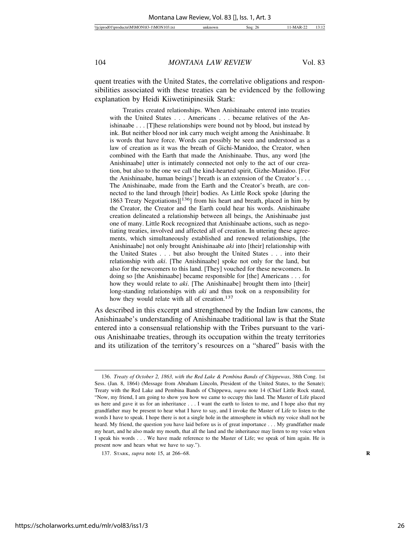quent treaties with the United States, the correlative obligations and responsibilities associated with these treaties can be evidenced by the following explanation by Heidi Kiiwetinipinesiik Stark:

Treaties created relationships. When Anishinaabe entered into treaties with the United States . . . Americans . . . became relatives of the Anishinaabe . . . [T]hese relationships were bound not by blood, but instead by ink. But neither blood nor ink carry much weight among the Anishinaabe. It is words that have force. Words can possibly be seen and understood as a law of creation as it was the breath of Gichi-Manidoo, the Creator, when combined with the Earth that made the Anishinaabe. Thus, any word [the Anishinaabe] utter is intimately connected not only to the act of our creation, but also to the one we call the kind-hearted spirit, Gizhe-Manidoo. [For the Anishinaabe, human beings'] breath is an extension of the Creator's . . . The Anishinaabe, made from the Earth and the Creator's breath, are connected to the land through [their] bodies. As Little Rock spoke [during the 1863 Treaty Negotiations<sup>[136]</sup> from his heart and breath, placed in him by the Creator, the Creator and the Earth could hear his words. Anishinaabe creation delineated a relationship between all beings, the Anishinaabe just one of many. Little Rock recognized that Anishinaabe actions, such as negotiating treaties, involved and affected all of creation. In uttering these agreements, which simultaneously established and renewed relationships, [the Anishinaabe] not only brought Anishinaabe *aki* into [their] relationship with the United States . . . but also brought the United States . . . into their relationship with *aki*. [The Anishinaabe] spoke not only for the land, but also for the newcomers to this land. [They] vouched for these newcomers. In doing so [the Anishinaabe] became responsible for [the] Americans . . . for how they would relate to *aki*. [The Anishinaabe] brought them into [their] long-standing relationships with *aki* and thus took on a responsibility for how they would relate with all of creation.<sup>137</sup>

As described in this excerpt and strengthened by the Indian law canons, the Anishinaabe's understanding of Anishinaabe traditional law is that the State entered into a consensual relationship with the Tribes pursuant to the various Anishinaabe treaties, through its occupation within the treaty territories and its utilization of the territory's resources on a "shared" basis with the

<sup>136.</sup> *Treaty of October 2, 1863, with the Red Lake & Pembina Bands of Chippewas*, 38th Cong. 1st Sess. (Jan. 8, 1864) (Message from Abraham Lincoln, President of the United States, to the Senate); Treaty with the Red Lake and Pembina Bands of Chippewa, *supra* note 14 (Chief Little Rock stated, "Now, my friend, I am going to show you how we came to occupy this land. The Master of Life placed us here and gave it us for an inheritance . . . I want the earth to listen to me, and I hope also that my grandfather may be present to hear what I have to say, and I invoke the Master of Life to listen to the words I have to speak. I hope there is not a single hole in the atmosphere in which my voice shall not be heard. My friend, the question you have laid before us is of great importance . . . My grandfather made my heart, and he also made my mouth, that all the land and the inheritance may listen to my voice when I speak his words . . . We have made reference to the Master of Life; we speak of him again. He is present now and hears what we have to say.").

<sup>137.</sup> STARK, *supra* note 15, at 266–68. **R**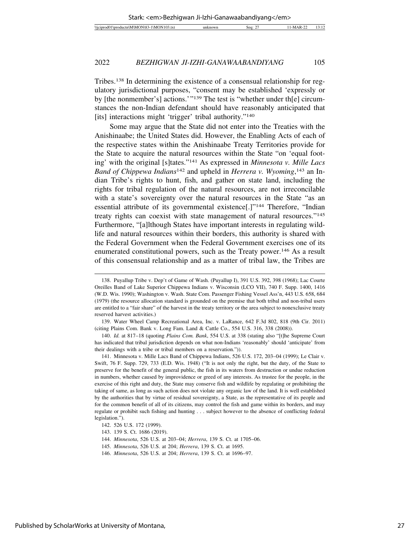Tribes.138 In determining the existence of a consensual relationship for regulatory jurisdictional purposes, "consent may be established 'expressly or by [the nonmember's] actions.'"139 The test is "whether under th[e] circumstances the non-Indian defendant should have reasonably anticipated that [its] interactions might 'trigger' tribal authority."<sup>140</sup>

Some may argue that the State did not enter into the Treaties with the Anishinaabe; the United States did. However, the Enabling Acts of each of the respective states within the Anishinaabe Treaty Territories provide for the State to acquire the natural resources within the State "on 'equal footing' with the original [s]tates."141 As expressed in *Minnesota v. Mille Lacs Band of Chippewa Indians*142 and upheld in *Herrera v. Wyoming*, 143 an Indian Tribe's rights to hunt, fish, and gather on state land, including the rights for tribal regulation of the natural resources, are not irreconcilable with a state's sovereignty over the natural resources in the State "as an essential attribute of its governmental existence[.]"144 Therefore, "Indian treaty rights can coexist with state management of natural resources."145 Furthermore, "[a]lthough States have important interests in regulating wildlife and natural resources within their borders, this authority is shared with the Federal Government when the Federal Government exercises one of its enumerated constitutional powers, such as the Treaty power.146 As a result of this consensual relationship and as a matter of tribal law, the Tribes are

<sup>138.</sup> Puyallup Tribe v. Dep't of Game of Wash. (Puyallup I), 391 U.S. 392, 398 (1968); Lac Courte Oreilles Band of Lake Superior Chippewa Indians v. Wisconsin (LCO VII), 740 F. Supp. 1400, 1416 (W.D. Wis. 1990); Washington v. Wash. State Com. Passenger Fishing Vessel Ass'n, 443 U.S. 658, 684 (1979) (the resource allocation standard is grounded on the premise that both tribal and non-tribal users are entitled to a "fair share" of the harvest in the treaty territory or the area subject to nonexclusive treaty reserved harvest activities.)

<sup>139.</sup> Water Wheel Camp Recreational Area, Inc. v. LaRance, 642 F.3d 802, 818 (9th Cir. 2011) (citing Plains Com. Bank v. Long Fam. Land & Cattle Co., 554 U.S. 316, 338 (2008)).

<sup>140.</sup> *Id.* at 817–18 (quoting *Plains Com. Bank*, 554 U.S. at 338 (stating also "[t]he Supreme Court has indicated that tribal jurisdiction depends on what non-Indians 'reasonably' should 'anticipate' from their dealings with a tribe or tribal members on a reservation.")).

<sup>141.</sup> Minnesota v. Mille Lacs Band of Chippewa Indians, 526 U.S. 172, 203–04 (1999); Le Clair v. Swift, 76 F. Supp. 729, 733 (E.D. Wis. 1948) ("It is not only the right, but the duty, of the State to preserve for the benefit of the general public, the fish in its waters from destruction or undue reduction in numbers, whether caused by improvidence or greed of any interests. As trustee for the people, in the exercise of this right and duty, the State may conserve fish and wildlife by regulating or prohibiting the taking of same, as long as such action does not violate any organic law of the land. It is well established by the authorities that by virtue of residual sovereignty, a State, as the representative of its people and for the common benefit of all of its citizens, may control the fish and game within its borders, and may regulate or prohibit such fishing and hunting . . . subject however to the absence of conflicting federal legislation.").

<sup>142. 526</sup> U.S. 172 (1999).

<sup>143. 139</sup> S. Ct. 1686 (2019).

<sup>144.</sup> *Minnesota*, 526 U.S. at 203–04; *Herrera*, 139 S. Ct. at 1705–06.

<sup>145.</sup> *Minnesota*, 526 U.S. at 204; *Herrera*, 139 S. Ct. at 1695.

<sup>146.</sup> *Minnesota*, 526 U.S. at 204; *Herrera*, 139 S. Ct. at 1696–97.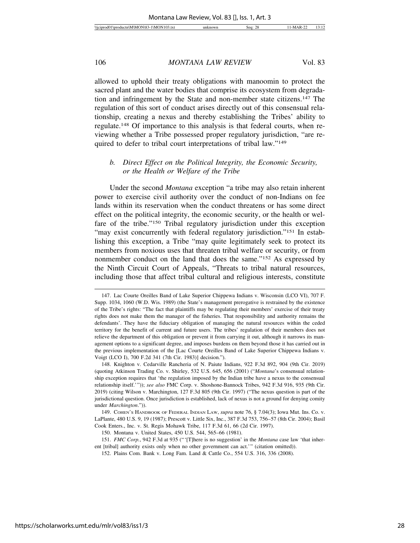allowed to uphold their treaty obligations with manoomin to protect the sacred plant and the water bodies that comprise its ecosystem from degradation and infringement by the State and non-member state citizens.147 The regulation of this sort of conduct arises directly out of this consensual relationship, creating a nexus and thereby establishing the Tribes' ability to regulate.148 Of importance to this analysis is that federal courts, when reviewing whether a Tribe possessed proper regulatory jurisdiction, "are required to defer to tribal court interpretations of tribal law."149

# *b. Direct Effect on the Political Integrity, the Economic Security, or the Health or Welfare of the Tribe*

Under the second *Montana* exception "a tribe may also retain inherent power to exercise civil authority over the conduct of non-Indians on fee lands within its reservation when the conduct threatens or has some direct effect on the political integrity, the economic security, or the health or welfare of the tribe."<sup>150</sup> Tribal regulatory jurisdiction under this exception "may exist concurrently with federal regulatory jurisdiction."<sup>151</sup> In establishing this exception, a Tribe "may quite legitimately seek to protect its members from noxious uses that threaten tribal welfare or security, or from nonmember conduct on the land that does the same."152 As expressed by the Ninth Circuit Court of Appeals, "Threats to tribal natural resources, including those that affect tribal cultural and religious interests, constitute

<sup>147.</sup> Lac Courte Oreilles Band of Lake Superior Chippewa Indians v. Wisconsin (LCO VI), 707 F. Supp. 1034, 1060 (W.D. Wis. 1989) (the State's management prerogative is restrained by the existence of the Tribe's rights: "The fact that plaintiffs may be regulating their members' exercise of their treaty rights does not make them the manager of the fisheries. That responsibility and authority remains the defendants'. They have the fiduciary obligation of managing the natural resources within the ceded territory for the benefit of current and future users. The tribes' regulation of their members does not relieve the department of this obligation or prevent it from carrying it out, although it narrows its management options to a significant degree, and imposes burdens on them beyond those it has carried out in the previous implementation of the [Lac Courte Oreilles Band of Lake Superior Chippewa Indians v. Voigt (LCO I), 700 F.2d 341 (7th Cir. 1983)] decision.").

<sup>148.</sup> Knighton v. Cedarville Rancheria of N. Paiute Indians, 922 F.3d 892, 904 (9th Cir. 2019) (quoting Atkinson Trading Co. v. Shirley, 532 U.S. 645, 656 (2001) ("*Montana*'s consensual relationship exception requires that 'the regulation imposed by the Indian tribe have a nexus to the consensual relationship itself.'")); *see also* FMC Corp. v. Shoshone-Bannock Tribes, 942 F.3d 916, 935 (9th Cir. 2019) (citing Wilson v. Marchington, 127 F.3d 805 (9th Cir. 1997) ("The nexus question is part of the jurisdictional question. Once jurisdiction is established, lack of nexus is not a ground for denying comity under *Marchington*.")).

<sup>149.</sup> COHEN'S HANDBOOK OF FEDERAL INDIAN LAW, *supra* note 76, § 7.04(3); Iowa Mut. Ins. Co. v. LaPlante, 480 U.S. 9, 19 (1987); Prescott v. Little Six, Inc., 387 F.3d 753, 756–57 (8th Cir. 2004); Basil Cook Enters., Inc. v. St. Regis Mohawk Tribe, 117 F.3d 61, 66 (2d Cir. 1997).

<sup>150.</sup> Montana v. United States, 450 U.S. 544, 565–66 (1981).

<sup>151.</sup> *FMC Corp.*, 942 F.3d at 935 ("'[T]here is no suggestion' in the *Montana* case law 'that inherent [tribal] authority exists only when no other government can act.'" (citation omitted)).

<sup>152.</sup> Plains Com. Bank v. Long Fam. Land & Cattle Co., 554 U.S. 316, 336 (2008).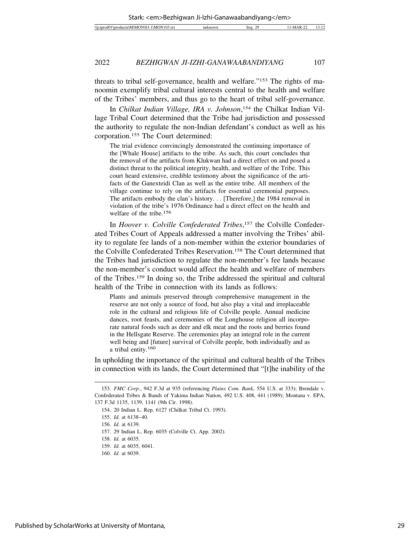threats to tribal self-governance, health and welfare."153 The rights of manoomin exemplify tribal cultural interests central to the health and welfare of the Tribes' members, and thus go to the heart of tribal self-governance.

In *Chilkat Indian Village, IRA v. Johnson*, 154 the Chilkat Indian Village Tribal Court determined that the Tribe had jurisdiction and possessed the authority to regulate the non-Indian defendant's conduct as well as his corporation.155 The Court determined:

The trial evidence convincingly demonstrated the continuing importance of the [Whale House] artifacts to the tribe. As such, this court concludes that the removal of the artifacts from Klukwan had a direct effect on and posed a distinct threat to the political integrity, health, and welfare of the Tribe. This court heard extensive, credible testimony about the significance of the artifacts of the Ganexteidi Clan as well as the entire tribe. All members of the village continue to rely on the artifacts for essential ceremonial purposes. The artifacts embody the clan's history. . . [Therefore,] the 1984 removal in violation of the tribe's 1976 Ordinance had a direct effect on the health and welfare of the tribe.156

In *Hoover v. Colville Confederated Tribes*, 157 the Colville Confederated Tribes Court of Appeals addressed a matter involving the Tribes' ability to regulate fee lands of a non-member within the exterior boundaries of the Colville Confederated Tribes Reservation.158 The Court determined that the Tribes had jurisdiction to regulate the non-member's fee lands because the non-member's conduct would affect the health and welfare of members of the Tribes.159 In doing so, the Tribe addressed the spiritual and cultural health of the Tribe in connection with its lands as follows:

Plants and animals preserved through comprehensive management in the reserve are not only a source of food, but also play a vital and irreplaceable role in the cultural and religious life of Colville people. Annual medicine dances, root feasts, and ceremonies of the Longhouse religion all incorporate natural foods such as deer and elk meat and the roots and berries found in the Hellsgate Reserve. The ceremonies play an integral role in the current well being and [future] survival of Colville people, both individually and as a tribal entity.160

In upholding the importance of the spiritual and cultural health of the Tribes in connection with its lands, the Court determined that "[t]he inability of the

<sup>153.</sup> *FMC Corp.*, 942 F.3d at 935 (referencing *Plains Com. Bank*, 554 U.S. at 333); Brendale v. Confederated Tribes & Bands of Yakima Indian Nation, 492 U.S. 408, 441 (1989); Montana v. EPA, 137 F.3d 1135, 1139, 1141 (9th Cir. 1998).

<sup>154. 20</sup> Indian L. Rep. 6127 (Chilkat Tribal Ct. 1993).

<sup>155.</sup> *Id.* at 6138–40.

<sup>156.</sup> *Id.* at 6139.

<sup>157. 29</sup> Indian L. Rep. 6035 (Colville Ct. App. 2002).

<sup>158.</sup> *Id.* at 6035.

<sup>159.</sup> *Id.* at 6035, 6041.

<sup>160.</sup> *Id.* at 6039.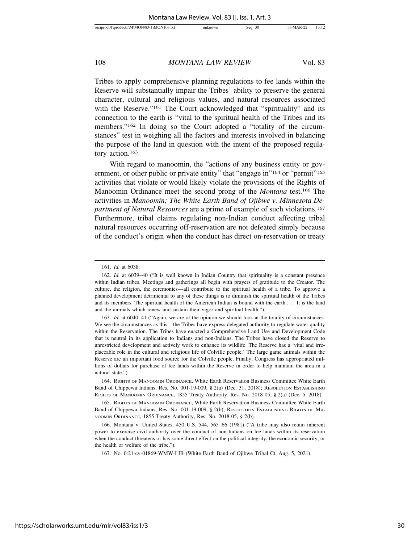Tribes to apply comprehensive planning regulations to fee lands within the Reserve will substantially impair the Tribes' ability to preserve the general character, cultural and religious values, and natural resources associated with the Reserve."<sup>161</sup> The Court acknowledged that "spirituality" and its connection to the earth is "vital to the spiritual health of the Tribes and its members."162 In doing so the Court adopted a "totality of the circumstances" test in weighing all the factors and interests involved in balancing the purpose of the land in question with the intent of the proposed regulatory action.163

With regard to manoomin, the "actions of any business entity or government, or other public or private entity" that "engage in"<sup>164</sup> or "permit"<sup>165</sup> activities that violate or would likely violate the provisions of the Rights of Manoomin Ordinance meet the second prong of the *Montana* test.166 The activities in *Manoomin; The White Earth Band of Ojibwe v. Minnesota Department of Natural Resources* are a prime of example of such violations.167 Furthermore, tribal claims regulating non-Indian conduct affecting tribal natural resources occurring off-reservation are not defeated simply because of the conduct's origin when the conduct has direct on-reservation or treaty

165. RIGHTS OF MANOOMIN ORDINANCE, White Earth Reservation Business Committee White Earth Band of Chippewa Indians, Res. No. 001-19-009, § 2(b); RESOLUTION ESTABLISHING RIGHTS OF MA-NOOMIN ORDINANCE, 1855 Treaty Authority, Res. No. 2018-05, § 2(b).

166. Montana v. United States, 450 U.S. 544, 565–66 (1981) ("A tribe may also retain inherent power to exercise civil authority over the conduct of non-Indians on fee lands within its reservation when the conduct threatens or has some direct effect on the political integrity, the economic security, or the health or welfare of the tribe.").

167. No. 0:21-cv-01869-WMW-LIB (White Earth Band of Ojibwe Tribal Ct. Aug. 5, 2021).

<sup>161.</sup> *Id.* at 6038.

<sup>162.</sup> *Id.* at 6039–40 ("It is well known in Indian Country that spirituality is a constant presence within Indian tribes. Meetings and gatherings all begin with prayers of gratitude to the Creator. The culture, the religion, the ceremonies—all contribute to the spiritual health of a tribe. To approve a planned development detrimental to any of these things is to diminish the spiritual health of the Tribes and its members. The spiritual health of the American Indian is bound with the earth . . . It is the land and the animals which renew and sustain their vigor and spiritual health.").

<sup>163.</sup> *Id.* at 6040–41 ("Again, we are of the opinion we should look at the totality of circumstances. We see the circumstances as this—the Tribes have express delegated authority to regulate water quality within the Reservation. The Tribes have enacted a Comprehensive Land Use and Development Code that is neutral in its application to Indians and non-Indians. The Tribes have closed the Reserve to unrestricted development and actively work to enhance its wildlife. The Reserve has a 'vital and irreplaceable role in the cultural and religious life of Colville people.' The large game animals within the Reserve are an important food source for the Colville people. Finally, Congress has appropriated millions of dollars for purchase of fee lands within the Reserve in order to help maintain the area in a natural state.").

<sup>164.</sup> RIGHTS OF MANOOMIN ORDINANCE, White Earth Reservation Business Committee White Earth Band of Chippewa Indians, Res. No. 001-19-009, § 2(a) (Dec. 31, 2018); RESOLUTION ESTABLISHING RIGHTS OF MANOOMIN ORDINANCE, 1855 Treaty Authority, Res. No. 2018-05, § 2(a) (Dec. 5, 2018).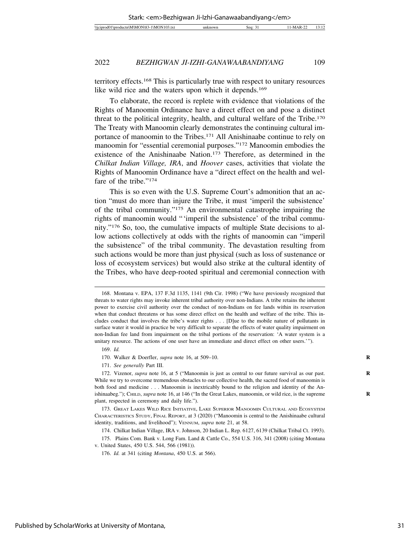territory effects.168 This is particularly true with respect to unitary resources like wild rice and the waters upon which it depends.<sup>169</sup>

To elaborate, the record is replete with evidence that violations of the Rights of Manoomin Ordinance have a direct effect on and pose a distinct threat to the political integrity, health, and cultural welfare of the Tribe.170 The Treaty with Manoomin clearly demonstrates the continuing cultural importance of manoomin to the Tribes.171 All Anishinaabe continue to rely on manoomin for "essential ceremonial purposes."172 Manoomin embodies the existence of the Anishinaabe Nation.<sup>173</sup> Therefore, as determined in the *Chilkat Indian Village, IRA*, and *Hoover* cases, activities that violate the Rights of Manoomin Ordinance have a "direct effect on the health and welfare of the tribe."174

This is so even with the U.S. Supreme Court's admonition that an action "must do more than injure the Tribe, it must 'imperil the subsistence' of the tribal community."175 An environmental catastrophe impairing the rights of manoomin would "'imperil the subsistence' of the tribal community."176 So, too, the cumulative impacts of multiple State decisions to allow actions collectively at odds with the rights of manoomin can "imperil the subsistence" of the tribal community. The devastation resulting from such actions would be more than just physical (such as loss of sustenance or loss of ecosystem services) but would also strike at the cultural identity of the Tribes, who have deep-rooted spiritual and ceremonial connection with

169. *Id.*

171. *See generally* Part III.

172. Vizenor, *supra* note 16, at 5 ("Manoomin is just as central to our future survival as our past. **R** While we try to overcome tremendous obstacles to our collective health, the sacred food of manoomin is both food and medicine . . . Manoomin is inextricably bound to the religion and identity of the Anishinaabeg."); CHILD, *supra* note 16, at 146 ("In the Great Lakes, manoomin, or wild rice, is the supreme **R** plant, respected in ceremony and daily life.").

175. Plains Com. Bank v. Long Fam. Land & Cattle Co., 554 U.S. 316, 341 (2008) (citing Montana v. United States, 450 U.S. 544, 566 (1981)).

<sup>168.</sup> Montana v. EPA, 137 F.3d 1135, 1141 (9th Cir. 1998) ("We have previously recognized that threats to water rights may invoke inherent tribal authority over non-Indians. A tribe retains the inherent power to exercise civil authority over the conduct of non-Indians on fee lands within its reservation when that conduct threatens or has some direct effect on the health and welfare of the tribe. This includes conduct that involves the tribe's water rights . . . [D]ue to the mobile nature of pollutants in surface water it would in practice be very difficult to separate the effects of water quality impairment on non-Indian fee land from impairment on the tribal portions of the reservation: 'A water system is a unitary resource. The actions of one user have an immediate and direct effect on other users.'").

<sup>170.</sup> Walker & Doerfler, *supra* note 16, at 509–10. **R**

<sup>173.</sup> GREAT LAKES WILD RICE INITIATIVE, LAKE SUPERIOR MANOOMIN CULTURAL AND ECOSYSTEM CHARACTERISTICS STUDY, FINAL REPORT, at 3 (2020) ("Manoomin is central to the Anishinaabe cultural identity, traditions, and livelihood"); VENNUM, *supra* note 21, at 58.

<sup>174.</sup> Chilkat Indian Village, IRA v. Johnson, 20 Indian L. Rep. 6127, 6139 (Chilkat Tribal Ct. 1993).

<sup>176.</sup> *Id.* at 341 (citing *Montana*, 450 U.S. at 566).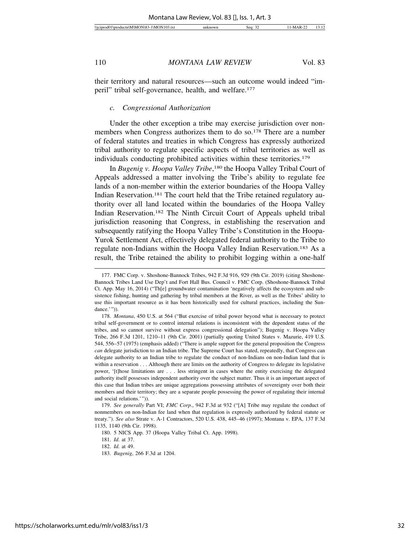their territory and natural resources—such an outcome would indeed "imperil" tribal self-governance, health, and welfare.<sup>177</sup>

# *c. Congressional Authorization*

Under the other exception a tribe may exercise jurisdiction over nonmembers when Congress authorizes them to do so.<sup>178</sup> There are a number of federal statutes and treaties in which Congress has expressly authorized tribal authority to regulate specific aspects of tribal territories as well as individuals conducting prohibited activities within these territories.179

In *Bugenig v. Hoopa Valley Tribe*,<sup>180</sup> the Hoopa Valley Tribal Court of Appeals addressed a matter involving the Tribe's ability to regulate fee lands of a non-member within the exterior boundaries of the Hoopa Valley Indian Reservation.<sup>181</sup> The court held that the Tribe retained regulatory authority over all land located within the boundaries of the Hoopa Valley Indian Reservation.182 The Ninth Circuit Court of Appeals upheld tribal jurisdiction reasoning that Congress, in establishing the reservation and subsequently ratifying the Hoopa Valley Tribe's Constitution in the Hoopa-Yurok Settlement Act, effectively delegated federal authority to the Tribe to regulate non-Indians within the Hoopa Valley Indian Reservation.183 As a result, the Tribe retained the ability to prohibit logging within a one-half

<sup>177.</sup> FMC Corp. v. Shoshone-Bannock Tribes, 942 F.3d 916, 929 (9th Cir. 2019) (citing Shoshone-Bannock Tribes Land Use Dep't and Fort Hall Bus. Council v. FMC Corp. (Shoshone-Bannock Tribal Ct. App. May 16, 2014) ("Th[e] groundwater contamination 'negatively affects the ecosystem and subsistence fishing, hunting and gathering by tribal members at the River, as well as the Tribes' ability to use this important resource as it has been historically used for cultural practices, including the Sundance.'")).

<sup>178.</sup> *Montana*, 450 U.S. at 564 ("But exercise of tribal power beyond what is necessary to protect tribal self-government or to control internal relations is inconsistent with the dependent status of the tribes, and so cannot survive without express congressional delegation"); Bugenig v. Hoopa Valley Tribe, 266 F.3d 1201, 1210–11 (9th Cir. 2001) (partially quoting United States v. Mazurie, 419 U.S. 544, 556–57 (1975) (emphasis added) ("There is ample support for the general proposition the Congress *can* delegate jurisdiction to an Indian tribe. The Supreme Court has stated, repeatedly, that Congress can delegate authority to an Indian tribe to regulate the conduct of non-Indians on non-Indian land that is within a reservation . . . Although there are limits on the authority of Congress to delegate its legislative power, '[t]hose limitations are . . . less stringent in cases where the entity exercising the delegated authority itself possesses independent authority over the subject matter. Thus it is an important aspect of this case that Indian tribes are unique aggregations possessing attributes of sovereignty over both their members and their territory; they are a separate people possessing the power of regulating their internal and social relations.'")).

<sup>179.</sup> *See generally* Part VI; *FMC Corp*., 942 F.3d at 932 ("[A] Tribe may regulate the conduct of nonmembers on non-Indian fee land when that regulation is expressly authorized by federal statute or treaty."). *See also* Strate v. A-1 Contractors, 520 U.S. 438, 445–46 (1997); Montana v. EPA, 137 F.3d 1135, 1140 (9th Cir. 1998).

<sup>180. 5</sup> NICS App. 37 (Hoopa Valley Tribal Ct. App. 1998).

<sup>181.</sup> *Id.* at 37.

<sup>182.</sup> *Id.* at 49.

<sup>183.</sup> *Bugenig*, 266 F.3d at 1204.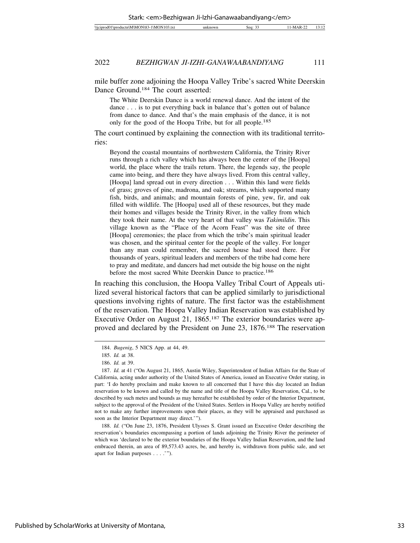#### \\jciprod01\productn\M\MON\83-1\MON103.txt unknown Seq: 33 11-MAR-22 13:12

#### 2022 *BEZHIGWAN JI-IZHI-GANAWAABANDIYANG* 111

mile buffer zone adjoining the Hoopa Valley Tribe's sacred White Deerskin Dance Ground.184 The court asserted:

The White Deerskin Dance is a world renewal dance. And the intent of the dance . . . is to put everything back in balance that's gotten out of balance from dance to dance. And that's the main emphasis of the dance, it is not only for the good of the Hoopa Tribe, but for all people.<sup>185</sup>

The court continued by explaining the connection with its traditional territories:

Beyond the coastal mountains of northwestern California, the Trinity River runs through a rich valley which has always been the center of the [Hoopa] world, the place where the trails return. There, the legends say, the people came into being, and there they have always lived. From this central valley, [Hoopa] land spread out in every direction . . . Within this land were fields of grass; groves of pine, madrona, and oak; streams, which supported many fish, birds, and animals; and mountain forests of pine, yew, fir, and oak filled with wildlife. The [Hoopa] used all of these resources, but they made their homes and villages beside the Trinity River, in the valley from which they took their name. At the very heart of that valley was *Takimildin*. This village known as the "Place of the Acorn Feast" was the site of three [Hoopa] ceremonies; the place from which the tribe's main spiritual leader was chosen, and the spiritual center for the people of the valley. For longer than any man could remember, the sacred house had stood there. For thousands of years, spiritual leaders and members of the tribe had come here to pray and meditate, and dancers had met outside the big house on the night before the most sacred White Deerskin Dance to practice.<sup>186</sup>

In reaching this conclusion, the Hoopa Valley Tribal Court of Appeals utilized several historical factors that can be applied similarly to jurisdictional questions involving rights of nature. The first factor was the establishment of the reservation. The Hoopa Valley Indian Reservation was established by Executive Order on August 21, 1865.<sup>187</sup> The exterior boundaries were approved and declared by the President on June 23, 1876.188 The reservation

<sup>184.</sup> *Bugenig*, 5 NICS App. at 44, 49.

<sup>185.</sup> *Id.* at 38.

<sup>186.</sup> *Id.* at 39.

<sup>187.</sup> *Id.* at 41 ("On August 21, 1865, Austin Wiley, Superintendent of Indian Affairs for the State of California, acting under authority of the United States of America, issued an Executive Order stating, in part: 'I do hereby proclaim and make known to all concerned that I have this day located an Indian reservation to be known and called by the name and title of the Hoopa Valley Reservation, Cal., to be described by such metes and bounds as may hereafter be established by order of the Interior Department, subject to the approval of the President of the United States. Settlers in Hoopa Valley are hereby notified not to make any further improvements upon their places, as they will be appraised and purchased as soon as the Interior Department may direct.'").

<sup>188.</sup> *Id.* ("On June 23, 1876, President Ulysses S. Grant issued an Executive Order describing the reservation's boundaries encompassing a portion of lands adjoining the Trinity River the perimeter of which was 'declared to be the exterior boundaries of the Hoopa Valley Indian Reservation, and the land embraced therein, an area of 89,573.43 acres, be, and hereby is, withdrawn from public sale, and set apart for Indian purposes . . . .'").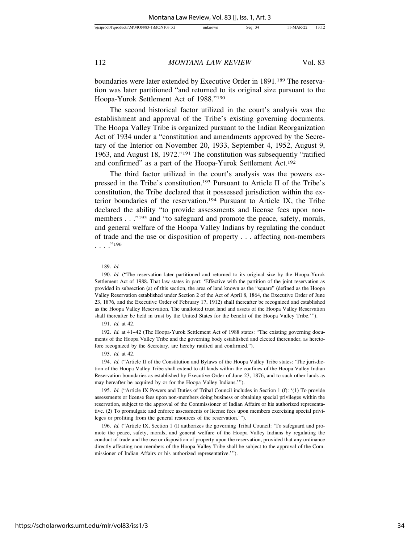boundaries were later extended by Executive Order in 1891.<sup>189</sup> The reservation was later partitioned "and returned to its original size pursuant to the Hoopa-Yurok Settlement Act of 1988."190

The second historical factor utilized in the court's analysis was the establishment and approval of the Tribe's existing governing documents. The Hoopa Valley Tribe is organized pursuant to the Indian Reorganization Act of 1934 under a "constitution and amendments approved by the Secretary of the Interior on November 20, 1933, September 4, 1952, August 9, 1963, and August 18, 1972."191 The constitution was subsequently "ratified and confirmed" as a part of the Hoopa-Yurok Settlement Act.192

The third factor utilized in the court's analysis was the powers expressed in the Tribe's constitution.193 Pursuant to Article II of the Tribe's constitution, the Tribe declared that it possessed jurisdiction within the exterior boundaries of the reservation.194 Pursuant to Article IX, the Tribe declared the ability "to provide assessments and license fees upon nonmembers . . ."<sup>195</sup> and "to safeguard and promote the peace, safety, morals, and general welfare of the Hoopa Valley Indians by regulating the conduct of trade and the use or disposition of property . . . affecting non-members . . . .  $\cdot$  . . .

192. *Id.* at 41–42 (The Hoopa-Yurok Settlement Act of 1988 states: "The existing governing documents of the Hoopa Valley Tribe and the governing body established and elected thereunder, as heretofore recognized by the Secretary, are hereby ratified and confirmed.").

193. *Id.* at 42.

194. *Id.* ("Article II of the Constitution and Bylaws of the Hoopa Valley Tribe states: 'The jurisdiction of the Hoopa Valley Tribe shall extend to all lands within the confines of the Hoopa Valley Indian Reservation boundaries as established by Executive Order of June 23, 1876, and to such other lands as may hereafter be acquired by or for the Hoopa Valley Indians.'").

195. *Id.* ("Article IX Powers and Duties of Tribal Council includes in Section 1 (f): '(1) To provide assessments or license fees upon non-members doing business or obtaining special privileges within the reservation, subject to the approval of the Commissioner of Indian Affairs or his authorized representative. (2) To promulgate and enforce assessments or license fees upon members exercising special privileges or profiting from the general resources of the reservation.'").

196. *Id.* ("Article IX, Section 1 (l) authorizes the governing Tribal Council: 'To safeguard and promote the peace, safety, morals, and general welfare of the Hoopa Valley Indians by regulating the conduct of trade and the use or disposition of property upon the reservation, provided that any ordinance directly affecting non-members of the Hoopa Valley Tribe shall be subject to the approval of the Commissioner of Indian Affairs or his authorized representative.'").

<sup>189.</sup> *Id.*

<sup>190.</sup> *Id.* ("The reservation later partitioned and returned to its original size by the Hoopa-Yurok Settlement Act of 1988. That law states in part: 'Effective with the partition of the joint reservation as provided in subsection (a) of this section, the area of land known as the "square" (defined as the Hoopa Valley Reservation established under Section 2 of the Act of April 8, 1864, the Executive Order of June 23, 1876, and the Executive Order of February 17, 1912) shall thereafter be recognized and established as the Hoopa Valley Reservation. The unallotted trust land and assets of the Hoopa Valley Reservation shall thereafter be held in trust by the United States for the benefit of the Hoopa Valley Tribe.'").

<sup>191.</sup> *Id.* at 42.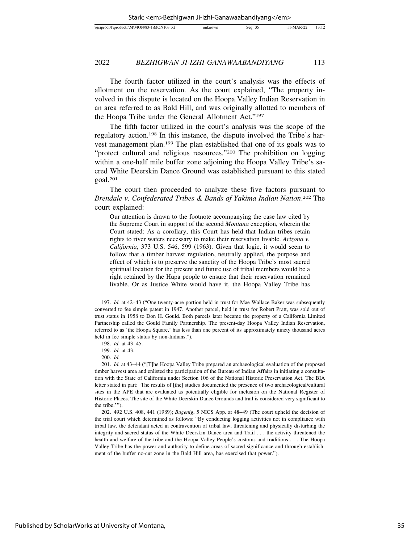The fourth factor utilized in the court's analysis was the effects of allotment on the reservation. As the court explained, "The property involved in this dispute is located on the Hoopa Valley Indian Reservation in an area referred to as Bald Hill, and was originally allotted to members of the Hoopa Tribe under the General Allotment Act."197

The fifth factor utilized in the court's analysis was the scope of the regulatory action.198 In this instance, the dispute involved the Tribe's harvest management plan.199 The plan established that one of its goals was to "protect cultural and religious resources."200 The prohibition on logging within a one-half mile buffer zone adjoining the Hoopa Valley Tribe's sacred White Deerskin Dance Ground was established pursuant to this stated goal.201

The court then proceeded to analyze these five factors pursuant to *Brendale v. Confederated Tribes & Bands of Yakima Indian Nation*. 202 The court explained:

Our attention is drawn to the footnote accompanying the case law cited by the Supreme Court in support of the second *Montana* exception, wherein the Court stated: As a corollary, this Court has held that Indian tribes retain rights to river waters necessary to make their reservation livable. *Arizona v. California*, 373 U.S. 546, 599 (1963). Given that logic, it would seem to follow that a timber harvest regulation, neutrally applied, the purpose and effect of which is to preserve the sanctity of the Hoopa Tribe's most sacred spiritual location for the present and future use of tribal members would be a right retained by the Hupa people to ensure that their reservation remained livable. Or as Justice White would have it, the Hoopa Valley Tribe has

<sup>197.</sup> *Id.* at 42–43 ("One twenty-acre portion held in trust for Mae Wallace Baker was subsequently converted to fee simple patent in 1947. Another parcel, held in trust for Robert Pratt, was sold out of trust status in 1958 to Don H. Gould. Both parcels later became the property of a California Limited Partnership called the Gould Family Partnership. The present-day Hoopa Valley Indian Reservation, referred to as 'the Hoopa Square,' has less than one percent of its approximately ninety thousand acres held in fee simple status by non-Indians.").

<sup>198.</sup> *Id.* at 43–45.

<sup>199.</sup> *Id.* at 43.

<sup>200.</sup> *Id.*

<sup>201.</sup> *Id.* at 43–44 ("[T]he Hoopa Valley Tribe prepared an archaeological evaluation of the proposed timber harvest area and enlisted the participation of the Bureau of Indian Affairs in initiating a consultation with the State of California under Section 106 of the National Historic Preservation Act. The BIA letter stated in part: 'The results of [the] studies documented the presence of two archaeological/cultural sites in the APE that are evaluated as potentially eligible for inclusion on the National Register of Historic Places. The site of the White Deerskin Dance Grounds and trail is considered very significant to the tribe.'").

<sup>202. 492</sup> U.S. 408, 441 (1989); *Bugenig*, 5 NICS App. at 48–49 (The court upheld the decision of the trial court which determined as follows: "By conducting logging activities not in compliance with tribal law, the defendant acted in contravention of tribal law, threatening and physically disturbing the integrity and sacred status of the White Deerskin Dance area and Trail . . . the activity threatened the health and welfare of the tribe and the Hoopa Valley People's customs and traditions . . . The Hoopa Valley Tribe has the power and authority to define areas of sacred significance and through establishment of the buffer no-cut zone in the Bald Hill area, has exercised that power.").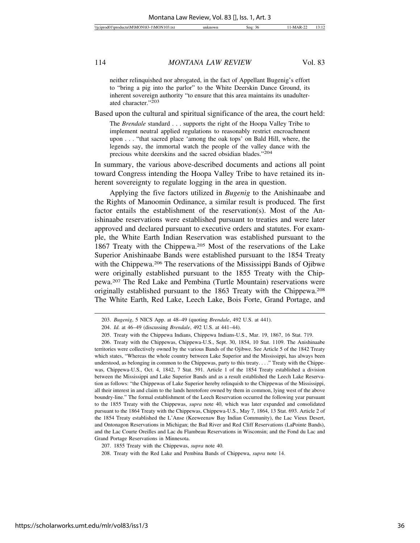neither relinquished nor abrogated, in the fact of Appellant Bugenig's effort to "bring a pig into the parlor" to the White Deerskin Dance Ground, its inherent sovereign authority "to ensure that this area maintains its unadulterated character."203

Based upon the cultural and spiritual significance of the area, the court held:

The *Brendale* standard . . . supports the right of the Hoopa Valley Tribe to implement neutral applied regulations to reasonably restrict encroachment upon . . . "that sacred place 'among the oak tops' on Bald Hill, where, the legends say, the immortal watch the people of the valley dance with the precious white deerskins and the sacred obsidian blades."204

In summary, the various above-described documents and actions all point toward Congress intending the Hoopa Valley Tribe to have retained its inherent sovereignty to regulate logging in the area in question.

Applying the five factors utilized in *Bugenig* to the Anishinaabe and the Rights of Manoomin Ordinance, a similar result is produced. The first factor entails the establishment of the reservation(s). Most of the Anishinaabe reservations were established pursuant to treaties and were later approved and declared pursuant to executive orders and statutes. For example, the White Earth Indian Reservation was established pursuant to the 1867 Treaty with the Chippewa.205 Most of the reservations of the Lake Superior Anishinaabe Bands were established pursuant to the 1854 Treaty with the Chippewa.206 The reservations of the Mississippi Bands of Ojibwe were originally established pursuant to the 1855 Treaty with the Chippewa.207 The Red Lake and Pembina (Turtle Mountain) reservations were originally established pursuant to the 1863 Treaty with the Chippewa.208 The White Earth, Red Lake, Leech Lake, Bois Forte, Grand Portage, and

<sup>203.</sup> *Bugenig*, 5 NICS App. at 48–49 (quoting *Brendale*, 492 U.S. at 441).

<sup>204.</sup> *Id.* at 46–49 (discussing *Brendale*, 492 U.S. at 441–44).

<sup>205.</sup> Treaty with the Chippewa Indians, Chippewa Indians-U.S., Mar. 19, 1867, 16 Stat. 719.

<sup>206.</sup> Treaty with the Chippewas, Chippewa-U.S., Sept. 30, 1854, 10 Stat. 1109. The Anishinaabe territories were collectively owned by the various Bands of the Ojibwe. See Article 5 of the 1842 Treaty which states, "Whereas the whole country between Lake Superior and the Mississippi, has always been understood, as belonging in common to the Chippewas, party to this treaty. . . ." Treaty with the Chippewas, Chippewa-U.S., Oct. 4, 1842, 7 Stat. 591. Article 1 of the 1854 Treaty established a division between the Mississippi and Lake Superior Bands and as a result established the Leech Lake Reservation as follows: "the Chippewas of Lake Superior hereby relinquish to the Chippewas of the Mississippi, all their interest in and claim to the lands heretofore owned by them in common, lying west of the above boundry-line." The formal establishment of the Leech Reservation occurred the following year pursuant to the 1855 Treaty with the Chippewas, *supra* note 40, which was later expanded and consolidated pursuant to the 1864 Treaty with the Chippewas, Chippewa-U.S., May 7, 1864, 13 Stat. 693. Article 2 of the 1854 Treaty established the L'Anse (Keeweenaw Bay Indian Community), the Lac Vieux Desert, and Ontonagon Reservations in Michigan; the Bad River and Red Cliff Reservations (LaPointe Bands), and the Lac Courte Oreilles and Lac du Flambeau Reservations in Wisconsin; and the Fond du Lac and Grand Portage Reservations in Minnesota.

<sup>207. 1855</sup> Treaty with the Chippewas, *supra* note 40.

<sup>208.</sup> Treaty with the Red Lake and Pembina Bands of Chippewa, *supra* note 14.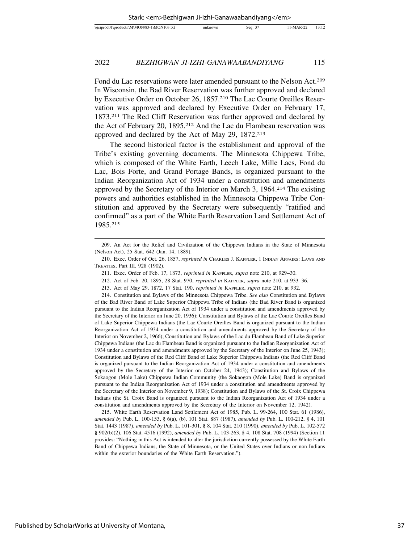Fond du Lac reservations were later amended pursuant to the Nelson Act.209 In Wisconsin, the Bad River Reservation was further approved and declared by Executive Order on October 26, 1857.210 The Lac Courte Oreilles Reservation was approved and declared by Executive Order on February 17, 1873.211 The Red Cliff Reservation was further approved and declared by the Act of February 20, 1895.212 And the Lac du Flambeau reservation was approved and declared by the Act of May 29, 1872.213

The second historical factor is the establishment and approval of the Tribe's existing governing documents. The Minnesota Chippewa Tribe, which is composed of the White Earth, Leech Lake, Mille Lacs, Fond du Lac, Bois Forte, and Grand Portage Bands, is organized pursuant to the Indian Reorganization Act of 1934 under a constitution and amendments approved by the Secretary of the Interior on March 3, 1964.214 The existing powers and authorities established in the Minnesota Chippewa Tribe Constitution and approved by the Secretary were subsequently "ratified and confirmed" as a part of the White Earth Reservation Land Settlement Act of 1985.215

214. Constitution and Bylaws of the Minnesota Chippewa Tribe. *See also* Constitution and Bylaws of the Bad River Band of Lake Superior Chippewa Tribe of Indians (the Bad River Band is organized pursuant to the Indian Reorganization Act of 1934 under a constitution and amendments approved by the Secretary of the Interior on June 20, 1936); Constitution and Bylaws of the Lac Courte Oreilles Band of Lake Superior Chippewa Indians (the Lac Courte Oreilles Band is organized pursuant to the Indian Reorganization Act of 1934 under a constitution and amendments approved by the Secretary of the Interior on November 2, 1966); Constitution and Bylaws of the Lac du Flambeau Band of Lake Superior Chippewa Indians (the Lac du Flambeau Band is organized pursuant to the Indian Reorganization Act of 1934 under a constitution and amendments approved by the Secretary of the Interior on June 25, 1943); Constitution and Bylaws of the Red Cliff Band of Lake Superior Chippewa Indians (the Red Cliff Band is organized pursuant to the Indian Reorganization Act of 1934 under a constitution and amendments approved by the Secretary of the Interior on October 24, 1943); Constitution and Bylaws of the Sokaogon (Mole Lake) Chippewa Indian Community (the Sokaogon (Mole Lake) Band is organized pursuant to the Indian Reorganization Act of 1934 under a constitution and amendments approved by the Secretary of the Interior on November 9, 1938); Constitution and Bylaws of the St. Croix Chippewa Indians (the St. Croix Band is organized pursuant to the Indian Reorganization Act of 1934 under a constitution and amendments approved by the Secretary of the Interior on November 12, 1942).

215. White Earth Reservation Land Settlement Act of 1985, Pub. L. 99-264, 100 Stat. 61 (1986), *amended by* Pub. L. 100-153, § 6(a), (b), 101 Stat. 887 (1987), *amended by* Pub. L. 100-212, § 4, 101 Stat. 1443 (1987), *amended by* Pub. L. 101-301, § 8, 104 Stat. 210 (1990), *amended by* Pub. L. 102-572 § 902(b)(2), 106 Stat. 4516 (1992), *amended by* Pub. L. 103-263, § 4, 108 Stat. 708 (1994) (Section 11 provides: "Nothing in this Act is intended to alter the jurisdiction currently possessed by the White Earth Band of Chippewa Indians, the State of Minnesota, or the United States over Indians or non-Indians within the exterior boundaries of the White Earth Reservation.").

<sup>209.</sup> An Act for the Relief and Civilization of the Chippewa Indians in the State of Minnesota (Nelson Act), 25 Stat. 642 (Jan. 14, 1889).

<sup>210.</sup> Exec. Order of Oct. 26, 1857, *reprinted in* CHARLES J. KAPPLER, 1 INDIAN AFFAIRS: LAWS AND TREATIES, Part III, 928 (1902).

<sup>211.</sup> Exec. Order of Feb. 17, 1873, *reprinted in* KAPPLER, *supra* note 210, at 929–30.

<sup>212.</sup> Act of Feb. 20, 1895, 28 Stat. 970, *reprinted in* KAPPLER, *supra* note 210, at 933–36.

<sup>213.</sup> Act of May 29, 1872, 17 Stat. 190, *reprinted in* KAPPLER, *supra* note 210, at 932.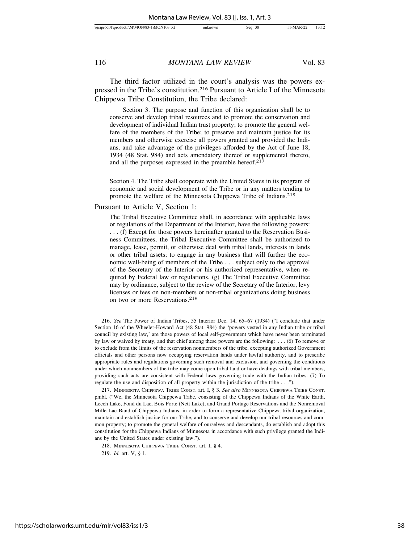The third factor utilized in the court's analysis was the powers expressed in the Tribe's constitution.216 Pursuant to Article I of the Minnesota Chippewa Tribe Constitution, the Tribe declared:

Section 3. The purpose and function of this organization shall be to conserve and develop tribal resources and to promote the conservation and development of individual Indian trust property; to promote the general welfare of the members of the Tribe; to preserve and maintain justice for its members and otherwise exercise all powers granted and provided the Indians, and take advantage of the privileges afforded by the Act of June 18, 1934 (48 Stat. 984) and acts amendatory thereof or supplemental thereto, and all the purposes expressed in the preamble hereof. $217$ 

Section 4. The Tribe shall cooperate with the United States in its program of economic and social development of the Tribe or in any matters tending to promote the welfare of the Minnesota Chippewa Tribe of Indians.218

#### Pursuant to Article V, Section 1:

The Tribal Executive Committee shall, in accordance with applicable laws or regulations of the Department of the Interior, have the following powers: . . . (f) Except for those powers hereinafter granted to the Reservation Business Committees, the Tribal Executive Committee shall be authorized to manage, lease, permit, or otherwise deal with tribal lands, interests in lands or other tribal assets; to engage in any business that will further the economic well-being of members of the Tribe . . . subject only to the approval of the Secretary of the Interior or his authorized representative, when required by Federal law or regulations. (g) The Tribal Executive Committee may by ordinance, subject to the review of the Secretary of the Interior, levy licenses or fees on non-members or non-tribal organizations doing business on two or more Reservations.219

<sup>216.</sup> *See* The Power of Indian Tribes, 55 Interior Dec. 14, 65–67 (1934) ("I conclude that under Section 16 of the Wheeler-Howard Act (48 Stat. 984) the 'powers vested in any Indian tribe or tribal council by existing law,' are those powers of local self-government which have never been terminated by law or waived by treaty, and that chief among these powers are the following: . . . (6) To remove or to exclude from the limits of the reservation nonmembers of the tribe, excepting authorized Government officials and other persons now occupying reservation lands under lawful authority, and to prescribe appropriate rules and regulations governing such removal and exclusion, and governing the conditions under which nonmembers of the tribe may come upon tribal land or have dealings with tribal members, providing such acts are consistent with Federal laws governing trade with the Indian tribes. (7) To regulate the use and disposition of all property within the jurisdiction of the tribe . . .").

<sup>217.</sup> MINNESOTA CHIPPEWA TRIBE CONST. art. I, § 3. *See also* MINNESOTA CHIPPEWA TRIBE CONST. pmbl. ("We, the Minnesota Chippewa Tribe, consisting of the Chippewa Indians of the White Earth, Leech Lake, Fond du Lac, Bois Forte (Nett Lake), and Grand Portage Reservations and the Nonremoval Mille Lac Band of Chippewa Indians, in order to form a representative Chippewa tribal organization, maintain and establish justice for our Tribe, and to conserve and develop our tribal resources and common property; to promote the general welfare of ourselves and descendants, do establish and adopt this constitution for the Chippewa Indians of Minnesota in accordance with such privilege granted the Indians by the United States under existing law.").

<sup>218.</sup> MINNESOTA CHIPPEWA TRIBE CONST. art. I, § 4.

<sup>219.</sup> *Id.* art. V, § 1.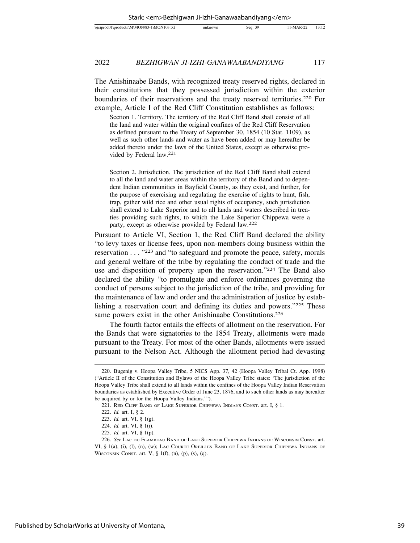The Anishinaabe Bands, with recognized treaty reserved rights, declared in their constitutions that they possessed jurisdiction within the exterior boundaries of their reservations and the treaty reserved territories.<sup>220</sup> For example, Article I of the Red Cliff Constitution establishes as follows:

Section 1. Territory. The territory of the Red Cliff Band shall consist of all the land and water within the original confines of the Red Cliff Reservation as defined pursuant to the Treaty of September 30, 1854 (10 Stat. 1109), as well as such other lands and water as have been added or may hereafter be added thereto under the laws of the United States, except as otherwise provided by Federal law.221

Section 2. Jurisdiction. The jurisdiction of the Red Cliff Band shall extend to all the land and water areas within the territory of the Band and to dependent Indian communities in Bayfield County, as they exist, and further, for the purpose of exercising and regulating the exercise of rights to hunt, fish, trap, gather wild rice and other usual rights of occupancy, such jurisdiction shall extend to Lake Superior and to all lands and waters described in treaties providing such rights, to which the Lake Superior Chippewa were a party, except as otherwise provided by Federal law.222

Pursuant to Article VI, Section 1, the Red Cliff Band declared the ability "to levy taxes or license fees, upon non-members doing business within the reservation . . . "223 and "to safeguard and promote the peace, safety, morals and general welfare of the tribe by regulating the conduct of trade and the use and disposition of property upon the reservation."224 The Band also declared the ability "to promulgate and enforce ordinances governing the conduct of persons subject to the jurisdiction of the tribe, and providing for the maintenance of law and order and the administration of justice by establishing a reservation court and defining its duties and powers."225 These same powers exist in the other Anishinaabe Constitutions.226

The fourth factor entails the effects of allotment on the reservation. For the Bands that were signatories to the 1854 Treaty, allotments were made pursuant to the Treaty. For most of the other Bands, allotments were issued pursuant to the Nelson Act. Although the allotment period had devasting

<sup>220.</sup> Bugenig v. Hoopa Valley Tribe, 5 NICS App. 37, 42 (Hoopa Valley Tribal Ct. App. 1998) ("Article II of the Constitution and Bylaws of the Hoopa Valley Tribe states: 'The jurisdiction of the Hoopa Valley Tribe shall extend to all lands within the confines of the Hoopa Valley Indian Reservation boundaries as established by Executive Order of June 23, 1876, and to such other lands as may hereafter be acquired by or for the Hoopa Valley Indians.'").

<sup>221.</sup> RED CLIFF BAND OF LAKE SUPERIOR CHIPPEWA INDIANS CONST. art. I, § 1.

<sup>222.</sup> *Id.* art. I, § 2.

<sup>223.</sup> *Id.* art. VI, § 1(g).

<sup>224.</sup> *Id.* art. VI, § 1(i).

<sup>225.</sup> *Id.* art. VI, § 1(p).

<sup>226.</sup> *See* LAC DU FLAMBEAU BAND OF LAKE SUPERIOR CHIPPEWA INDIANS OF WISCONSIN CONST. art. VI, § 1(a), (i), (l), (n), (w); LAC COURTE OREILLES BAND OF LAKE SUPERIOR CHIPPEWA INDIANS OF WISCONSIN CONST. art. V,  $\S$  1(f), (n), (p), (s), (q).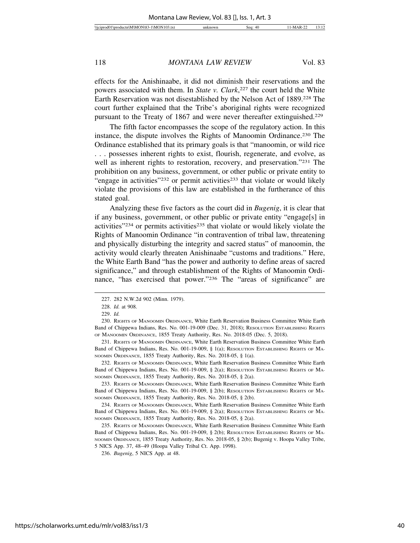effects for the Anishinaabe, it did not diminish their reservations and the powers associated with them. In *State v. Clark*, 227 the court held the White Earth Reservation was not disestablished by the Nelson Act of 1889.<sup>228</sup> The court further explained that the Tribe's aboriginal rights were recognized pursuant to the Treaty of 1867 and were never thereafter extinguished.229

The fifth factor encompasses the scope of the regulatory action. In this instance, the dispute involves the Rights of Manoomin Ordinance.230 The Ordinance established that its primary goals is that "manoomin, or wild rice . . . possesses inherent rights to exist, flourish, regenerate, and evolve, as well as inherent rights to restoration, recovery, and preservation."231 The prohibition on any business, government, or other public or private entity to "engage in activities"<sup>232</sup> or permit activities<sup>233</sup> that violate or would likely violate the provisions of this law are established in the furtherance of this stated goal.

Analyzing these five factors as the court did in *Bugenig*, it is clear that if any business, government, or other public or private entity "engage[s] in activities" $234$  or permits activities $235$  that violate or would likely violate the Rights of Manoomin Ordinance "in contravention of tribal law, threatening and physically disturbing the integrity and sacred status" of manoomin, the activity would clearly threaten Anishinaabe "customs and traditions." Here, the White Earth Band "has the power and authority to define areas of sacred significance," and through establishment of the Rights of Manoomin Ordinance, "has exercised that power."236 The "areas of significance" are

<sup>227. 282</sup> N.W.2d 902 (Minn. 1979).

<sup>228.</sup> *Id.* at 908.

<sup>229.</sup> *Id.*

<sup>230.</sup> RIGHTS OF MANOOMIN ORDINANCE, White Earth Reservation Business Committee White Earth Band of Chippewa Indians, Res. No. 001-19-009 (Dec. 31, 2018); RESOLUTION ESTABLISHING RIGHTS OF MANOOMIN ORDINANCE, 1855 Treaty Authority, Res. No. 2018-05 (Dec. 5, 2018).

<sup>231.</sup> RIGHTS OF MANOOMIN ORDINANCE, White Earth Reservation Business Committee White Earth Band of Chippewa Indians, Res. No. 001-19-009, § 1(a); RESOLUTION ESTABLISHING RIGHTS OF MA-NOOMIN ORDINANCE, 1855 Treaty Authority, Res. No. 2018-05, § 1(a).

<sup>232.</sup> RIGHTS OF MANOOMIN ORDINANCE, White Earth Reservation Business Committee White Earth Band of Chippewa Indians, Res. No. 001-19-009, § 2(a); RESOLUTION ESTABLISHING RIGHTS OF MA-NOOMIN ORDINANCE, 1855 Treaty Authority, Res. No. 2018-05, § 2(a).

<sup>233.</sup> RIGHTS OF MANOOMIN ORDINANCE, White Earth Reservation Business Committee White Earth Band of Chippewa Indians, Res. No. 001-19-009, § 2(b); RESOLUTION ESTABLISHING RIGHTS OF MA-NOOMIN ORDINANCE, 1855 Treaty Authority, Res. No. 2018-05, § 2(b).

<sup>234.</sup> RIGHTS OF MANOOMIN ORDINANCE, White Earth Reservation Business Committee White Earth Band of Chippewa Indians, Res. No. 001-19-009, § 2(a); RESOLUTION ESTABLISHING RIGHTS OF MA-NOOMIN ORDINANCE, 1855 Treaty Authority, Res. No. 2018-05, § 2(a).

<sup>235.</sup> RIGHTS OF MANOOMIN ORDINANCE, White Earth Reservation Business Committee White Earth Band of Chippewa Indians, Res. No. 001-19-009, § 2(b); RESOLUTION ESTABLISHING RIGHTS OF MA-NOOMIN ORDINANCE, 1855 Treaty Authority, Res. No. 2018-05, § 2(b); Bugenig v. Hoopa Valley Tribe, 5 NICS App. 37, 48–49 (Hoopa Valley Tribal Ct. App. 1998).

<sup>236.</sup> *Bugenig*, 5 NICS App. at 48.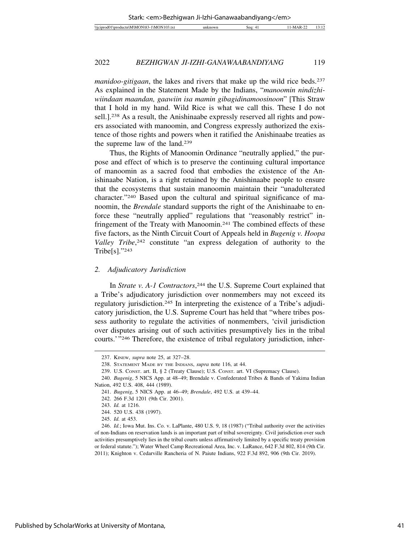#### \)\jciprod01\productn\M\MON\83-1\MON103.txt unknown Seq: 41 11-MAR-22 13:12

#### 2022 *BEZHIGWAN JI-IZHI-GANAWAABANDIYANG* 119

*manidoo-gitigaan*, the lakes and rivers that make up the wild rice beds.237 As explained in the Statement Made by the Indians, "*manoomin nindizhiwiindaan maandan, gaawiin isa mamin gibagidinamoosinoon*" [This Straw that I hold in my hand. Wild Rice is what we call this. These I do not sell.].238 As a result, the Anishinaabe expressly reserved all rights and powers associated with manoomin, and Congress expressly authorized the existence of those rights and powers when it ratified the Anishinaabe treaties as the supreme law of the land.239

Thus, the Rights of Manoomin Ordinance "neutrally applied," the purpose and effect of which is to preserve the continuing cultural importance of manoomin as a sacred food that embodies the existence of the Anishinaabe Nation, is a right retained by the Anishinaabe people to ensure that the ecosystems that sustain manoomin maintain their "unadulterated character."240 Based upon the cultural and spiritual significance of manoomin, the *Brendale* standard supports the right of the Anishinaabe to enforce these "neutrally applied" regulations that "reasonably restrict" infringement of the Treaty with Manoomin.241 The combined effects of these five factors, as the Ninth Circuit Court of Appeals held in *Bugenig v. Hoopa Valley Tribe*, 242 constitute "an express delegation of authority to the Tribe[s]."243

#### *2. Adjudicatory Jurisdiction*

In *Strate v. A-1 Contractors*, 244 the U.S. Supreme Court explained that a Tribe's adjudicatory jurisdiction over nonmembers may not exceed its regulatory jurisdiction.245 In interpreting the existence of a Tribe's adjudicatory jurisdiction, the U.S. Supreme Court has held that "where tribes possess authority to regulate the activities of nonmembers, 'civil jurisdiction over disputes arising out of such activities presumptively lies in the tribal courts.'"246 Therefore, the existence of tribal regulatory jurisdiction, inher-

<sup>237.</sup> KINEW, *supra* note 25, at 327–28.

<sup>238.</sup> STATEMENT MADE BY THE INDIANS, *supra* note 116, at 44.

<sup>239.</sup> U.S. CONST. art. II, § 2 (Treaty Clause); U.S. CONST. art. VI (Supremacy Clause).

<sup>240.</sup> *Bugenig*, 5 NICS App. at 48–49; Brendale v. Confederated Tribes & Bands of Yakima Indian Nation, 492 U.S. 408, 444 (1989).

<sup>241.</sup> *Bugenig*, 5 NICS App. at 46–49; *Brendale*, 492 U.S. at 439–44.

<sup>242. 266</sup> F.3d 1201 (9th Cir. 2001).

<sup>243.</sup> *Id.* at 1216.

<sup>244. 520</sup> U.S. 438 (1997).

<sup>245.</sup> *Id.* at 453.

<sup>246.</sup> *Id.*; Iowa Mut. Ins. Co. v. LaPlante, 480 U.S. 9, 18 (1987) ("Tribal authority over the activities of non-Indians on reservation lands is an important part of tribal sovereignty. Civil jurisdiction over such activities presumptively lies in the tribal courts unless affirmatively limited by a specific treaty provision or federal statute."); Water Wheel Camp Recreational Area, Inc. v. LaRance, 642 F.3d 802, 814 (9th Cir. 2011); Knighton v. Cedarville Rancheria of N. Paiute Indians, 922 F.3d 892, 906 (9th Cir. 2019).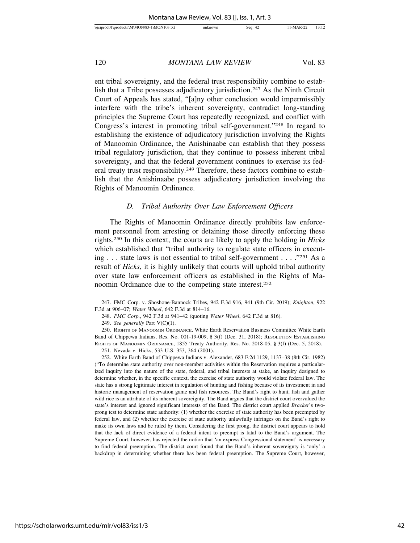ent tribal sovereignty, and the federal trust responsibility combine to establish that a Tribe possesses adjudicatory jurisdiction.247 As the Ninth Circuit Court of Appeals has stated, "[a]ny other conclusion would impermissibly interfere with the tribe's inherent sovereignty, contradict long-standing principles the Supreme Court has repeatedly recognized, and conflict with Congress's interest in promoting tribal self-government."248 In regard to establishing the existence of adjudicatory jurisdiction involving the Rights of Manoomin Ordinance, the Anishinaabe can establish that they possess tribal regulatory jurisdiction, that they continue to possess inherent tribal sovereignty, and that the federal government continues to exercise its federal treaty trust responsibility.249 Therefore, these factors combine to establish that the Anishinaabe possess adjudicatory jurisdiction involving the Rights of Manoomin Ordinance.

#### *D. Tribal Authority Over Law Enforcement Officers*

The Rights of Manoomin Ordinance directly prohibits law enforcement personnel from arresting or detaining those directly enforcing these rights.250 In this context, the courts are likely to apply the holding in *Hicks* which established that "tribal authority to regulate state officers in executing . . . state laws is not essential to tribal self-government . . . ."251 As a result of *Hicks*, it is highly unlikely that courts will uphold tribal authority over state law enforcement officers as established in the Rights of Manoomin Ordinance due to the competing state interest.252

252. White Earth Band of Chippewa Indians v. Alexander, 683 F.2d 1129, 1137–38 (8th Cir. 1982) ("To determine state authority over non-member activities within the Reservation requires a particularized inquiry into the nature of the state, federal, and tribal interests at stake, an inquiry designed to determine whether, in the specific context, the exercise of state authority would violate federal law. The state has a strong legitimate interest in regulation of hunting and fishing because of its investment in and historic management of reservation game and fish resources. The Band's right to hunt, fish and gather wild rice is an attribute of its inherent sovereignty. The Band argues that the district court overvalued the state's interest and ignored significant interests of the Band. The district court applied *Bracker*'s twoprong test to determine state authority: (1) whether the exercise of state authority has been preempted by federal law, and (2) whether the exercise of state authority unlawfully infringes on the Band's right to make its own laws and be ruled by them. Considering the first prong, the district court appears to hold that the lack of direct evidence of a federal intent to preempt is fatal to the Band's argument. The Supreme Court, however, has rejected the notion that 'an express Congressional statement' is necessary to find federal preemption. The district court found that the Band's inherent sovereignty is 'only' a backdrop in determining whether there has been federal preemption. The Supreme Court, however,

<sup>247.</sup> FMC Corp. v. Shoshone-Bannock Tribes, 942 F.3d 916, 941 (9th Cir. 2019); *Knighton*, 922 F.3d at 906–07; *Water Wheel*, 642 F.3d at 814–16.

<sup>248.</sup> *FMC Corp.*, 942 F.3d at 941–42 (quoting *Water Wheel*, 642 F.3d at 816).

<sup>249.</sup> *See generally* Part V(C)(1).

<sup>250.</sup> RIGHTS OF MANOOMIN ORDINANCE, White Earth Reservation Business Committee White Earth Band of Chippewa Indians, Res. No. 001-19-009, § 3(f) (Dec. 31, 2018); RESOLUTION ESTABLISHING RIGHTS OF MANOOMIN ORDINANCE, 1855 Treaty Authority, Res. No. 2018-05, § 3(f) (Dec. 5, 2018).

<sup>251.</sup> Nevada v. Hicks, 533 U.S. 353, 364 (2001).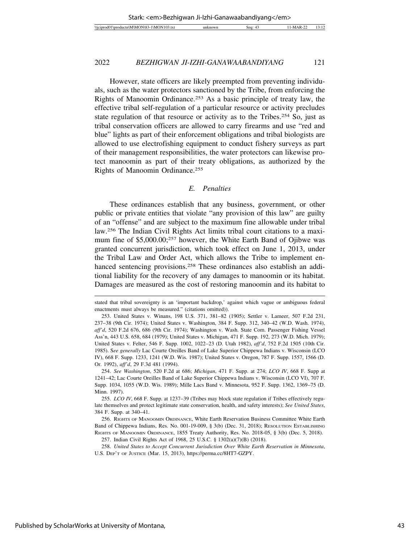#### \\jciprod01\productn\M\MON\83-1\MON103.txt unknown Seq: 43 11-MAR-22 13:12

#### 2022 *BEZHIGWAN JI-IZHI-GANAWAABANDIYANG* 121

However, state officers are likely preempted from preventing individuals, such as the water protectors sanctioned by the Tribe, from enforcing the Rights of Manoomin Ordinance.253 As a basic principle of treaty law, the effective tribal self-regulation of a particular resource or activity precludes state regulation of that resource or activity as to the Tribes.254 So, just as tribal conservation officers are allowed to carry firearms and use "red and blue" lights as part of their enforcement obligations and tribal biologists are allowed to use electrofishing equipment to conduct fishery surveys as part of their management responsibilities, the water protectors can likewise protect manoomin as part of their treaty obligations, as authorized by the Rights of Manoomin Ordinance.255

# *E. Penalties*

These ordinances establish that any business, government, or other public or private entities that violate "any provision of this law" are guilty of an "offense" and are subject to the maximum fine allowable under tribal law.256 The Indian Civil Rights Act limits tribal court citations to a maximum fine of \$5,000.00;<sup>257</sup> however, the White Earth Band of Ojibwe was granted concurrent jurisdiction, which took effect on June 1, 2013, under the Tribal Law and Order Act, which allows the Tribe to implement enhanced sentencing provisions.<sup>258</sup> These ordinances also establish an additional liability for the recovery of any damages to manoomin or its habitat. Damages are measured as the cost of restoring manoomin and its habitat to

stated that tribal sovereignty is an 'important backdrop,' against which vague or ambiguous federal enactments must always be measured." (citations omitted)).

<sup>253.</sup> United States v. Winans, 198 U.S. 371, 381–82 (1905); Settler v. Lameer, 507 F.2d 231, 237–38 (9th Cir. 1974); United States v. Washington, 384 F. Supp. 312, 340–42 (W.D. Wash. 1974), *aff'd*, 520 F.2d 676, 686 (9th Cir. 1974); Washington v. Wash. State Com. Passenger Fishing Vessel Ass'n, 443 U.S. 658, 684 (1979); United States v. Michigan, 471 F. Supp. 192, 273 (W.D. Mich. 1979); United States v. Felter, 546 F. Supp. 1002, 1022–23 (D. Utah 1982), *aff'd*, 752 F.2d 1505 (10th Cir. 1985). S*ee generally* Lac Courte Oreilles Band of Lake Superior Chippewa Indians v. Wisconsin (LCO IV), 668 F. Supp. 1233, 1241 (W.D. Wis. 1987); United States v. Oregon, 787 F. Supp. 1557, 1566 (D. Or. 1992), *aff'd*, 29 F.3d 481 (1994).

<sup>254.</sup> *See Washington*, 520 F.2d at 686; *Michigan*, 471 F. Supp. at 274; *LCO IV*, 668 F. Supp at 1241–42; Lac Courte Oreilles Band of Lake Superior Chippewa Indians v. Wisconsin (LCO VI), 707 F. Supp. 1034, 1055 (W.D. Wis. 1989); Mille Lacs Band v. Minnesota, 952 F. Supp. 1362, 1369–75 (D. Minn. 1997).

<sup>255.</sup> *LCO IV*, 668 F. Supp. at 1237–39 (Tribes may block state regulation if Tribes effectively regulate themselves and protect legitimate state conservation, health, and safety interests); *See United States*, 384 F. Supp. at 340–41.

<sup>256.</sup> RIGHTS OF MANOOMIN ORDINANCE, White Earth Reservation Business Committee White Earth Band of Chippewa Indians, Res. No. 001-19-009, § 3(b) (Dec. 31, 2018); RESOLUTION ESTABLISHING RIGHTS OF MANOOMIN ORDINANCE, 1855 Treaty Authority, Res. No. 2018-05, § 3(b) (Dec. 5, 2018).

<sup>257.</sup> Indian Civil Rights Act of 1968, 25 U.S.C. § 1302(a)(7)(B) (2018).

<sup>258.</sup> *United States to Accept Concurrent Jurisdiction Over White Earth Reservation in Minnesota*, U.S. DEP'T OF JUSTICE (Mar. 15, 2013), https://perma.cc/8HT7-GZPY.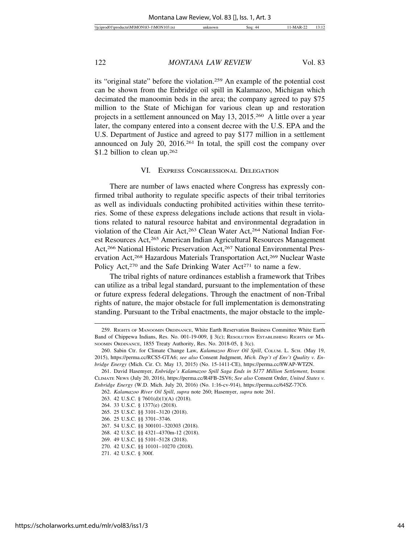its "original state" before the violation.259 An example of the potential cost can be shown from the Enbridge oil spill in Kalamazoo, Michigan which decimated the manoomin beds in the area; the company agreed to pay \$75 million to the State of Michigan for various clean up and restoration projects in a settlement announced on May 13, 2015.260 A little over a year later, the company entered into a consent decree with the U.S. EPA and the U.S. Department of Justice and agreed to pay \$177 million in a settlement announced on July 20, 2016.261 In total, the spill cost the company over \$1.2 billion to clean up.<sup>262</sup>

# VI. EXPRESS CONGRESSIONAL DELEGATION

There are number of laws enacted where Congress has expressly confirmed tribal authority to regulate specific aspects of their tribal territories as well as individuals conducting prohibited activities within these territories. Some of these express delegations include actions that result in violations related to natural resource habitat and environmental degradation in violation of the Clean Air Act,<sup>263</sup> Clean Water Act,<sup>264</sup> National Indian Forest Resources Act,265 American Indian Agricultural Resources Management Act,<sup>266</sup> National Historic Preservation Act,<sup>267</sup> National Environmental Preservation Act,268 Hazardous Materials Transportation Act,269 Nuclear Waste Policy Act,<sup>270</sup> and the Safe Drinking Water Act<sup>271</sup> to name a few.

The tribal rights of nature ordinances establish a framework that Tribes can utilize as a tribal legal standard, pursuant to the implementation of these or future express federal delegations. Through the enactment of non-Tribal rights of nature, the major obstacle for full implementation is demonstrating standing. Pursuant to the Tribal enactments, the major obstacle to the imple-

- 263. 42 U.S.C. § 7601(d)(1)(A) (2018).
- 264. 33 U.S.C. § 1377(e) (2018). 265. 25 U.S.C. §§ 3101–3120 (2018).
- 266. 25 U.S.C. §§ 3701–3746.
- 267. 54 U.S.C. §§ 300101–320303 (2018).
- 268. 42 U.S.C. §§ 4321–4370m-12 (2018).
- 269. 49 U.S.C. §§ 5101–5128 (2018).
- 270. 42 U.S.C. §§ 10101–10270 (2018).
- 271. 42 U.S.C. § 300f.

<sup>259.</sup> RIGHTS OF MANOOMIN ORDINANCE, White Earth Reservation Business Committee White Earth Band of Chippewa Indians, Res. No. 001-19-009, § 3(c); RESOLUTION ESTABLISHING RIGHTS OF MA-NOOMIN ORDINANCE, 1855 Treaty Authority, Res. No. 2018-05, § 3(c).

<sup>260.</sup> Sabin Ctr. for Climate Change Law, *Kalamazoo River Oil Spill*, COLUM. L. SCH. (May 19, 2015), https://perma.cc/RCS5-GTA6; *see also* Consent Judgment, *Mich. Dep't of Env't Quality v. Enbridge Energy* (Mich. Cir. Ct. May 13, 2015) (No. 15-1411-CE), https://perma.cc/8WAP-WTZN.

<sup>261.</sup> David Hasemyer, *Enbridge's Kalamazoo Spill Saga Ends in \$177 Million Settlement*, INSIDE CLIMATE NEWS (July 20, 2016), https://perma.cc/R4FB-2SV6; *See also* Consent Order, *United States v. Enbridge Energy* (W.D. Mich. July 20, 2016) (No. 1:16-cv-914), https://perma.cc/64SZ-77C6.

<sup>262.</sup> *Kalamazoo River Oil Spill*, *supra* note 260; Hasemyer, *supra* note 261.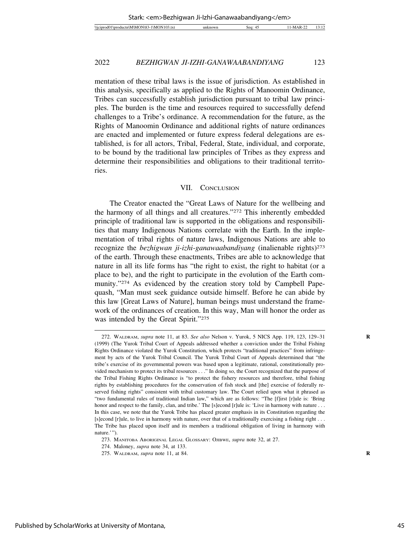mentation of these tribal laws is the issue of jurisdiction. As established in this analysis, specifically as applied to the Rights of Manoomin Ordinance, Tribes can successfully establish jurisdiction pursuant to tribal law principles. The burden is the time and resources required to successfully defend challenges to a Tribe's ordinance. A recommendation for the future, as the Rights of Manoomin Ordinance and additional rights of nature ordinances are enacted and implemented or future express federal delegations are established, is for all actors, Tribal, Federal, State, individual, and corporate, to be bound by the traditional law principles of Tribes as they express and determine their responsibilities and obligations to their traditional territories.

#### VII. CONCLUSION

The Creator enacted the "Great Laws of Nature for the wellbeing and the harmony of all things and all creatures."272 This inherently embedded principle of traditional law is supported in the obligations and responsibilities that many Indigenous Nations correlate with the Earth. In the implementation of tribal rights of nature laws, Indigenous Nations are able to recognize the *bezhigwan ji-izhi-ganawaabandiyang* (inalienable rights)<sup>273</sup> of the earth. Through these enactments, Tribes are able to acknowledge that nature in all its life forms has "the right to exist, the right to habitat (or a place to be), and the right to participate in the evolution of the Earth community."274 As evidenced by the creation story told by Campbell Papequash, "Man must seek guidance outside himself. Before he can abide by this law [Great Laws of Nature], human beings must understand the framework of the ordinances of creation. In this way, Man will honor the order as was intended by the Great Spirit."275

<sup>272.</sup> WALDRAM, *supra* note 11, at 83. *See also* Nelson v. Yurok, 5 NICS App. 119, 123, 129–31 **R** (1999) (The Yurok Tribal Court of Appeals addressed whether a conviction under the Tribal Fishing Rights Ordinance violated the Yurok Constitution, which protects "traditional practices" from infringement by acts of the Yurok Tribal Council. The Yurok Tribal Court of Appeals determined that "the tribe's exercise of its governmental powers was based upon a legitimate, rational, constitutionally provided mechanism to protect its tribal resources . . ." In doing so, the Court recognized that the purpose of the Tribal Fishing Rights Ordinance is "to protect the fishery resources and therefore, tribal fishing rights by establishing procedures for the conservation of fish stock and [the] exercise of federally reserved fishing rights" consistent with tribal customary law. The Court relied upon what it phrased as "two fundamental rules of traditional Indian law," which are as follows: "The [f]irst [r]ule is: 'Bring honor and respect to the family, clan, and tribe.' The [s]econd [r]ule is: 'Live in harmony with nature . . . In this case, we note that the Yurok Tribe has placed greater emphasis in its Constitution regarding the [s]econd [r]ule, to live in harmony with nature, over that of a traditionally exercising a fishing right . . . The Tribe has placed upon itself and its members a traditional obligation of living in harmony with nature.'").

<sup>273.</sup> MANITOBA ABORIGINAL LEGAL GLOSSARY: OJIBWE, *supra* note 32, at 27.

<sup>274.</sup> Maloney, *supra* note 34, at 133.

<sup>275.</sup> WALDRAM, *supra* note 11, at 84. **R**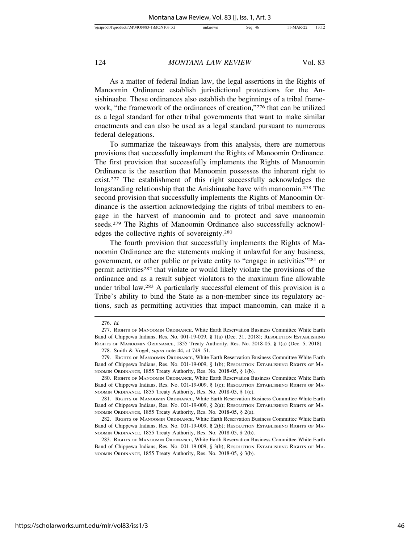As a matter of federal Indian law, the legal assertions in the Rights of Manoomin Ordinance establish jurisdictional protections for the Ansishinaabe. These ordinances also establish the beginnings of a tribal framework, "the framework of the ordinances of creation,"276 that can be utilized as a legal standard for other tribal governments that want to make similar enactments and can also be used as a legal standard pursuant to numerous federal delegations.

To summarize the takeaways from this analysis, there are numerous provisions that successfully implement the Rights of Manoomin Ordinance. The first provision that successfully implements the Rights of Manoomin Ordinance is the assertion that Manoomin possesses the inherent right to exist.277 The establishment of this right successfully acknowledges the longstanding relationship that the Anishinaabe have with manoomin.<sup>278</sup> The second provision that successfully implements the Rights of Manoomin Ordinance is the assertion acknowledging the rights of tribal members to engage in the harvest of manoomin and to protect and save manoomin seeds.279 The Rights of Manoomin Ordinance also successfully acknowledges the collective rights of sovereignty.280

The fourth provision that successfully implements the Rights of Manoomin Ordinance are the statements making it unlawful for any business, government, or other public or private entity to "engage in activities"281 or permit activities282 that violate or would likely violate the provisions of the ordinance and as a result subject violators to the maximum fine allowable under tribal law.283 A particularly successful element of this provision is a Tribe's ability to bind the State as a non-member since its regulatory actions, such as permitting activities that impact manoomin, can make it a

<sup>276.</sup> *Id.*

<sup>277.</sup> RIGHTS OF MANOOMIN ORDINANCE, White Earth Reservation Business Committee White Earth Band of Chippewa Indians, Res. No. 001-19-009, § 1(a) (Dec. 31, 2018); RESOLUTION ESTABLISHING RIGHTS OF MANOOMIN ORDINANCE, 1855 Treaty Authority, Res. No. 2018-05, § 1(a) (Dec. 5, 2018).

<sup>278.</sup> Smith & Vogel, *supra* note 44, at 749–51.

<sup>279.</sup> RIGHTS OF MANOOMIN ORDINANCE, White Earth Reservation Business Committee White Earth Band of Chippewa Indians, Res. No. 001-19-009, § 1(b); RESOLUTION ESTABLISHING RIGHTS OF MA-NOOMIN ORDINANCE, 1855 Treaty Authority, Res. No. 2018-05, § 1(b).

<sup>280.</sup> RIGHTS OF MANOOMIN ORDINANCE, White Earth Reservation Business Committee White Earth Band of Chippewa Indians, Res. No. 001-19-009, § 1(c); RESOLUTION ESTABLISHING RIGHTS OF MA-NOOMIN ORDINANCE, 1855 Treaty Authority, Res. No. 2018-05, § 1(c).

<sup>281.</sup> RIGHTS OF MANOOMIN ORDINANCE, White Earth Reservation Business Committee White Earth Band of Chippewa Indians, Res. No. 001-19-009, § 2(a); RESOLUTION ESTABLISHING RIGHTS OF MA-NOOMIN ORDINANCE, 1855 Treaty Authority, Res. No. 2018-05, § 2(a).

<sup>282.</sup> RIGHTS OF MANOOMIN ORDINANCE, White Earth Reservation Business Committee White Earth Band of Chippewa Indians, Res. No. 001-19-009, § 2(b); RESOLUTION ESTABLISHING RIGHTS OF MA-NOOMIN ORDINANCE, 1855 Treaty Authority, Res. No. 2018-05, § 2(b).

<sup>283.</sup> RIGHTS OF MANOOMIN ORDINANCE, White Earth Reservation Business Committee White Earth Band of Chippewa Indians, Res. No. 001-19-009, § 3(b); RESOLUTION ESTABLISHING RIGHTS OF MA-NOOMIN ORDINANCE, 1855 Treaty Authority, Res. No. 2018-05, § 3(b).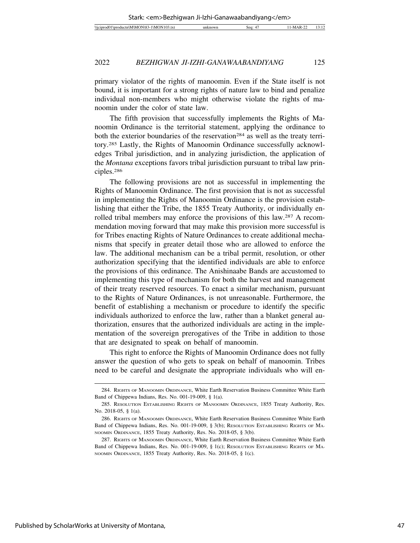primary violator of the rights of manoomin. Even if the State itself is not bound, it is important for a strong rights of nature law to bind and penalize individual non-members who might otherwise violate the rights of manoomin under the color of state law.

The fifth provision that successfully implements the Rights of Manoomin Ordinance is the territorial statement, applying the ordinance to both the exterior boundaries of the reservation<sup>284</sup> as well as the treaty territory.285 Lastly, the Rights of Manoomin Ordinance successfully acknowledges Tribal jurisdiction, and in analyzing jurisdiction, the application of the *Montana* exceptions favors tribal jurisdiction pursuant to tribal law principles.286

The following provisions are not as successful in implementing the Rights of Manoomin Ordinance. The first provision that is not as successful in implementing the Rights of Manoomin Ordinance is the provision establishing that either the Tribe, the 1855 Treaty Authority, or individually enrolled tribal members may enforce the provisions of this law.287 A recommendation moving forward that may make this provision more successful is for Tribes enacting Rights of Nature Ordinances to create additional mechanisms that specify in greater detail those who are allowed to enforce the law. The additional mechanism can be a tribal permit, resolution, or other authorization specifying that the identified individuals are able to enforce the provisions of this ordinance. The Anishinaabe Bands are accustomed to implementing this type of mechanism for both the harvest and management of their treaty reserved resources. To enact a similar mechanism, pursuant to the Rights of Nature Ordinances, is not unreasonable. Furthermore, the benefit of establishing a mechanism or procedure to identify the specific individuals authorized to enforce the law, rather than a blanket general authorization, ensures that the authorized individuals are acting in the implementation of the sovereign prerogatives of the Tribe in addition to those that are designated to speak on behalf of manoomin.

This right to enforce the Rights of Manoomin Ordinance does not fully answer the question of who gets to speak on behalf of manoomin. Tribes need to be careful and designate the appropriate individuals who will en-

<sup>284.</sup> RIGHTS OF MANOOMIN ORDINANCE, White Earth Reservation Business Committee White Earth Band of Chippewa Indians, Res. No. 001-19-009, § 1(a).

<sup>285.</sup> RESOLUTION ESTABLISHING RIGHTS OF MANOOMIN ORDINANCE, 1855 Treaty Authority, Res. No. 2018-05, § 1(a).

<sup>286.</sup> RIGHTS OF MANOOMIN ORDINANCE, White Earth Reservation Business Committee White Earth Band of Chippewa Indians, Res. No. 001-19-009, § 3(b); RESOLUTION ESTABLISHING RIGHTS OF MA-NOOMIN ORDINANCE, 1855 Treaty Authority, Res. No. 2018-05, § 3(b).

<sup>287.</sup> RIGHTS OF MANOOMIN ORDINANCE, White Earth Reservation Business Committee White Earth Band of Chippewa Indians, Res. No. 001-19-009, § 1(c); RESOLUTION ESTABLISHING RIGHTS OF MA-NOOMIN ORDINANCE, 1855 Treaty Authority, Res. No. 2018-05, § 1(c).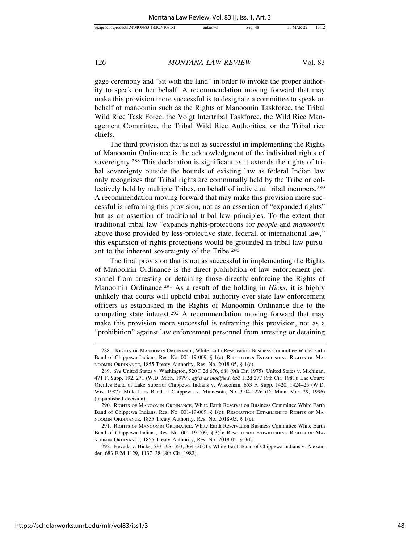gage ceremony and "sit with the land" in order to invoke the proper authority to speak on her behalf. A recommendation moving forward that may make this provision more successful is to designate a committee to speak on behalf of manoomin such as the Rights of Manoomin Taskforce, the Tribal Wild Rice Task Force, the Voigt Intertribal Taskforce, the Wild Rice Management Committee, the Tribal Wild Rice Authorities, or the Tribal rice chiefs.

The third provision that is not as successful in implementing the Rights of Manoomin Ordinance is the acknowledgment of the individual rights of sovereignty.288 This declaration is significant as it extends the rights of tribal sovereignty outside the bounds of existing law as federal Indian law only recognizes that Tribal rights are communally held by the Tribe or collectively held by multiple Tribes, on behalf of individual tribal members.<sup>289</sup> A recommendation moving forward that may make this provision more successful is reframing this provision, not as an assertion of "expanded rights" but as an assertion of traditional tribal law principles. To the extent that traditional tribal law "expands rights-protections for *people* and *manoomin* above those provided by less-protective state, federal, or international law," this expansion of rights protections would be grounded in tribal law pursuant to the inherent sovereignty of the Tribe.290

The final provision that is not as successful in implementing the Rights of Manoomin Ordinance is the direct prohibition of law enforcement personnel from arresting or detaining those directly enforcing the Rights of Manoomin Ordinance.291 As a result of the holding in *Hicks*, it is highly unlikely that courts will uphold tribal authority over state law enforcement officers as established in the Rights of Manoomin Ordinance due to the competing state interest.292 A recommendation moving forward that may make this provision more successful is reframing this provision, not as a "prohibition" against law enforcement personnel from arresting or detaining

<sup>288.</sup> RIGHTS OF MANOOMIN ORDINANCE, White Earth Reservation Business Committee White Earth Band of Chippewa Indians, Res. No. 001-19-009, § 1(c); RESOLUTION ESTABLISHING RIGHTS OF MA-NOOMIN ORDINANCE, 1855 Treaty Authority, Res. No. 2018-05, § 1(c).

<sup>289.</sup> *See* United States v. Washington, 520 F.2d 676, 688 (9th Cir. 1975); United States v. Michigan, 471 F. Supp. 192, 271 (W.D. Mich. 1979), *aff'd as modified*, 653 F.2d 277 (6th Cir. 1981); Lac Courte Oreilles Band of Lake Superior Chippewa Indians v. Wisconsin, 653 F. Supp. 1420, 1424–25 (W.D. Wis. 1987); Mille Lacs Band of Chippewa v. Minnesota, No. 3-94-1226 (D. Minn. Mar. 29, 1996) (unpublished decision).

<sup>290.</sup> RIGHTS OF MANOOMIN ORDINANCE, White Earth Reservation Business Committee White Earth Band of Chippewa Indians, Res. No. 001-19-009, § 1(c); RESOLUTION ESTABLISHING RIGHTS OF MA-NOOMIN ORDINANCE, 1855 Treaty Authority, Res. No. 2018-05, § 1(c).

<sup>291.</sup> RIGHTS OF MANOOMIN ORDINANCE, White Earth Reservation Business Committee White Earth Band of Chippewa Indians, Res. No. 001-19-009, § 3(f); RESOLUTION ESTABLISHING RIGHTS OF MA-NOOMIN ORDINANCE, 1855 Treaty Authority, Res. No. 2018-05, § 3(f).

<sup>292.</sup> Nevada v. Hicks, 533 U.S. 353, 364 (2001); White Earth Band of Chippewa Indians v. Alexander, 683 F.2d 1129, 1137–38 (8th Cir. 1982).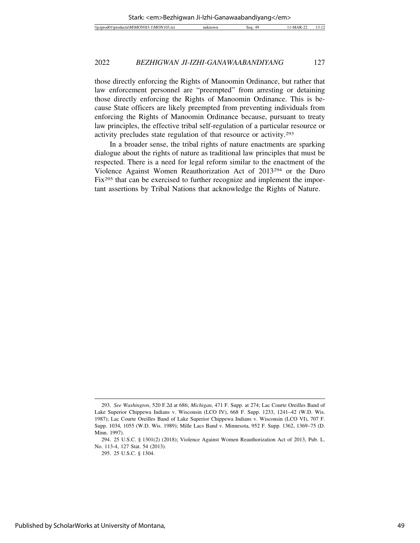those directly enforcing the Rights of Manoomin Ordinance, but rather that law enforcement personnel are "preempted" from arresting or detaining those directly enforcing the Rights of Manoomin Ordinance. This is because State officers are likely preempted from preventing individuals from enforcing the Rights of Manoomin Ordinance because, pursuant to treaty law principles, the effective tribal self-regulation of a particular resource or activity precludes state regulation of that resource or activity.293

In a broader sense, the tribal rights of nature enactments are sparking dialogue about the rights of nature as traditional law principles that must be respected. There is a need for legal reform similar to the enactment of the Violence Against Women Reauthorization Act of 2013294 or the Duro Fix295 that can be exercised to further recognize and implement the important assertions by Tribal Nations that acknowledge the Rights of Nature.

<sup>293.</sup> *See Washington*, 520 F.2d at 686; *Michigan*, 471 F. Supp. at 274; Lac Courte Oreilles Band of Lake Superior Chippewa Indians v. Wisconsin (LCO IV), 668 F. Supp. 1233, 1241–42 (W.D. Wis. 1987); Lac Courte Oreilles Band of Lake Superior Chippewa Indians v. Wisconsin (LCO VI), 707 F. Supp. 1034, 1055 (W.D. Wis. 1989); Mille Lacs Band v. Minnesota, 952 F. Supp. 1362, 1369–75 (D. Minn. 1997).

<sup>294. 25</sup> U.S.C. § 1301(2) (2018); Violence Against Women Reauthorization Act of 2013, Pub. L. No. 113-4, 127 Stat. 54 (2013).

<sup>295. 25</sup> U.S.C. § 1304.